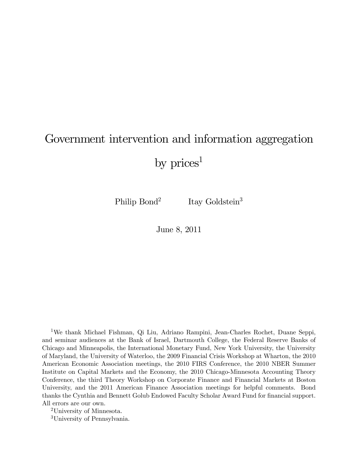# Government intervention and information aggregation

by  $\text{prices}^1$ 

Philip Bond<sup>2</sup> Itay Goldstein<sup>3</sup>

June 8, 2011

1We thank Michael Fishman, Qi Liu, Adriano Rampini, Jean-Charles Rochet, Duane Seppi, and seminar audiences at the Bank of Israel, Dartmouth College, the Federal Reserve Banks of Chicago and Minneapolis, the International Monetary Fund, New York University, the University of Maryland, the University of Waterloo, the 2009 Financial Crisis Workshop at Wharton, the 2010 American Economic Association meetings, the 2010 FIRS Conference, the 2010 NBER Summer Institute on Capital Markets and the Economy, the 2010 Chicago-Minnesota Accounting Theory Conference, the third Theory Workshop on Corporate Finance and Financial Markets at Boston University, and the 2011 American Finance Association meetings for helpful comments. Bond thanks the Cynthia and Bennett Golub Endowed Faculty Scholar Award Fund for financial support. All errors are our own.

2University of Minnesota.

3University of Pennsylvania.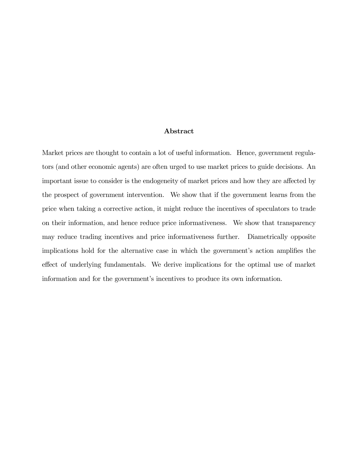#### Abstract

Market prices are thought to contain a lot of useful information. Hence, government regulators (and other economic agents) are often urged to use market prices to guide decisions. An important issue to consider is the endogeneity of market prices and how they are affected by the prospect of government intervention. We show that if the government learns from the price when taking a corrective action, it might reduce the incentives of speculators to trade on their information, and hence reduce price informativeness. We show that transparency may reduce trading incentives and price informativeness further. Diametrically opposite implications hold for the alternative case in which the government's action amplifies the effect of underlying fundamentals. We derive implications for the optimal use of market information and for the government's incentives to produce its own information.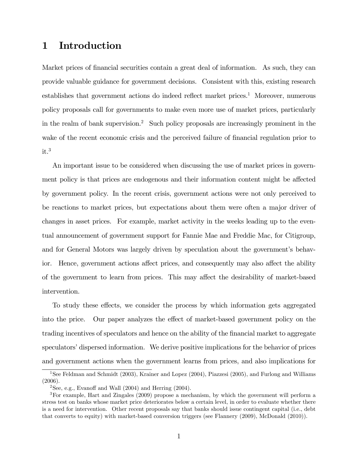# 1 Introduction

Market prices of financial securities contain a great deal of information. As such, they can provide valuable guidance for government decisions. Consistent with this, existing research establishes that government actions do indeed reflect market prices.1 Moreover, numerous policy proposals call for governments to make even more use of market prices, particularly in the realm of bank supervision.2 Such policy proposals are increasingly prominent in the wake of the recent economic crisis and the perceived failure of financial regulation prior to  $it.<sup>3</sup>$ 

An important issue to be considered when discussing the use of market prices in government policy is that prices are endogenous and their information content might be affected by government policy. In the recent crisis, government actions were not only perceived to be reactions to market prices, but expectations about them were often a major driver of changes in asset prices. For example, market activity in the weeks leading up to the eventual announcement of government support for Fannie Mae and Freddie Mac, for Citigroup, and for General Motors was largely driven by speculation about the government's behavior. Hence, government actions affect prices, and consequently may also affect the ability of the government to learn from prices. This may affect the desirability of market-based intervention.

To study these effects, we consider the process by which information gets aggregated into the price. Our paper analyzes the effect of market-based government policy on the trading incentives of speculators and hence on the ability of the financial market to aggregate speculators' dispersed information. We derive positive implications for the behavior of prices and government actions when the government learns from prices, and also implications for

<sup>&</sup>lt;sup>1</sup>See Feldman and Schmidt (2003), Krainer and Lopez (2004), Piazzesi (2005), and Furlong and Williams (2006).

<sup>&</sup>lt;sup>2</sup>See, e.g., Evanoff and Wall  $(2004)$  and Herring  $(2004)$ .

<sup>3</sup>For example, Hart and Zingales (2009) propose a mechanism, by which the government will perform a stress test on banks whose market price deteriorates below a certain level, in order to evaluate whether there is a need for intervention. Other recent proposals say that banks should issue contingent capital (i.e., debt that converts to equity) with market-based conversion triggers (see Flannery (2009), McDonald (2010)).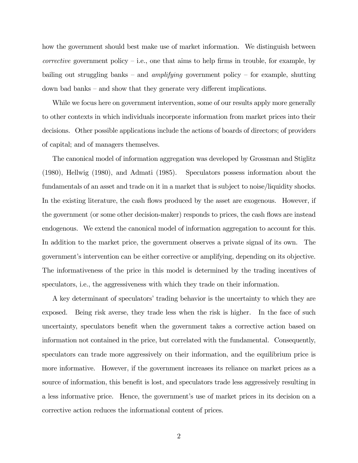how the government should best make use of market information. We distinguish between *corrective* government policy  $-$  i.e., one that aims to help firms in trouble, for example, by bailing out struggling banks – and *amplifying* government policy – for example, shutting down bad banks — and show that they generate very different implications.

While we focus here on government intervention, some of our results apply more generally to other contexts in which individuals incorporate information from market prices into their decisions. Other possible applications include the actions of boards of directors; of providers of capital; and of managers themselves.

The canonical model of information aggregation was developed by Grossman and Stiglitz (1980), Hellwig (1980), and Admati (1985). Speculators possess information about the fundamentals of an asset and trade on it in a market that is subject to noise/liquidity shocks. In the existing literature, the cash flows produced by the asset are exogenous. However, if the government (or some other decision-maker) responds to prices, the cash flows are instead endogenous. We extend the canonical model of information aggregation to account for this. In addition to the market price, the government observes a private signal of its own. The government's intervention can be either corrective or amplifying, depending on its objective. The informativeness of the price in this model is determined by the trading incentives of speculators, i.e., the aggressiveness with which they trade on their information.

A key determinant of speculators' trading behavior is the uncertainty to which they are exposed. Being risk averse, they trade less when the risk is higher. In the face of such uncertainty, speculators benefit when the government takes a corrective action based on information not contained in the price, but correlated with the fundamental. Consequently, speculators can trade more aggressively on their information, and the equilibrium price is more informative. However, if the government increases its reliance on market prices as a source of information, this benefit is lost, and speculators trade less aggressively resulting in a less informative price. Hence, the government's use of market prices in its decision on a corrective action reduces the informational content of prices.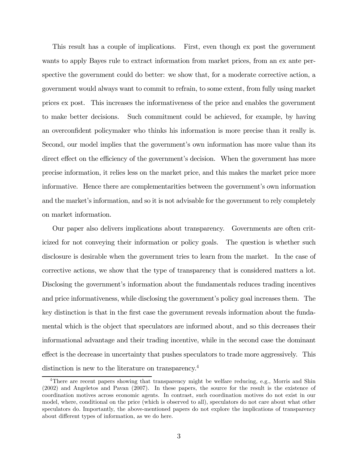This result has a couple of implications. First, even though ex post the government wants to apply Bayes rule to extract information from market prices, from an ex ante perspective the government could do better: we show that, for a moderate corrective action, a government would always want to commit to refrain, to some extent, from fully using market prices ex post. This increases the informativeness of the price and enables the government to make better decisions. Such commitment could be achieved, for example, by having an overconfident policymaker who thinks his information is more precise than it really is. Second, our model implies that the government's own information has more value than its direct effect on the efficiency of the government's decision. When the government has more precise information, it relies less on the market price, and this makes the market price more informative. Hence there are complementarities between the government's own information and the market's information, and so it is not advisable for the government to rely completely on market information.

Our paper also delivers implications about transparency. Governments are often criticized for not conveying their information or policy goals. The question is whether such disclosure is desirable when the government tries to learn from the market. In the case of corrective actions, we show that the type of transparency that is considered matters a lot. Disclosing the government's information about the fundamentals reduces trading incentives and price informativeness, while disclosing the government's policy goal increases them. The key distinction is that in the first case the government reveals information about the fundamental which is the object that speculators are informed about, and so this decreases their informational advantage and their trading incentive, while in the second case the dominant effect is the decrease in uncertainty that pushes speculators to trade more aggressively. This distinction is new to the literature on transparency.<sup>4</sup>

<sup>&</sup>lt;sup>4</sup>There are recent papers showing that transparency might be welfare reducing, e.g., Morris and Shin (2002) and Angeletos and Pavan (2007). In these papers, the source for the result is the existence of coordination motives across economic agents. In contrast, such coordination motives do not exist in our model, where, conditional on the price (which is observed to all), speculators do not care about what other speculators do. Importantly, the above-mentioned papers do not explore the implications of transparency about different types of information, as we do here.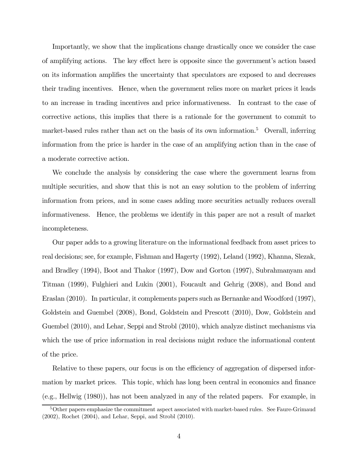Importantly, we show that the implications change drastically once we consider the case of amplifying actions. The key effect here is opposite since the government's action based on its information amplifies the uncertainty that speculators are exposed to and decreases their trading incentives. Hence, when the government relies more on market prices it leads to an increase in trading incentives and price informativeness. In contrast to the case of corrective actions, this implies that there is a rationale for the government to commit to market-based rules rather than act on the basis of its own information.<sup>5</sup> Overall, inferring information from the price is harder in the case of an amplifying action than in the case of a moderate corrective action.

We conclude the analysis by considering the case where the government learns from multiple securities, and show that this is not an easy solution to the problem of inferring information from prices, and in some cases adding more securities actually reduces overall informativeness. Hence, the problems we identify in this paper are not a result of market incompleteness.

Our paper adds to a growing literature on the informational feedback from asset prices to real decisions; see, for example, Fishman and Hagerty (1992), Leland (1992), Khanna, Slezak, and Bradley (1994), Boot and Thakor (1997), Dow and Gorton (1997), Subrahmanyam and Titman (1999), Fulghieri and Lukin (2001), Foucault and Gehrig (2008), and Bond and Eraslan (2010). In particular, it complements papers such as Bernanke and Woodford (1997), Goldstein and Guembel (2008), Bond, Goldstein and Prescott (2010), Dow, Goldstein and Guembel (2010), and Lehar, Seppi and Strobl (2010), which analyze distinct mechanisms via which the use of price information in real decisions might reduce the informational content of the price.

Relative to these papers, our focus is on the efficiency of aggregation of dispersed information by market prices. This topic, which has long been central in economics and finance (e.g., Hellwig (1980)), has not been analyzed in any of the related papers. For example, in

<sup>&</sup>lt;sup>5</sup>Other papers emphasize the commitment aspect associated with market-based rules. See Faure-Grimaud (2002), Rochet (2004), and Lehar, Seppi, and Strobl (2010).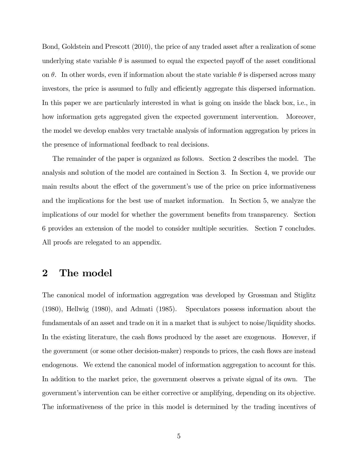Bond, Goldstein and Prescott (2010), the price of any traded asset after a realization of some underlying state variable  $\theta$  is assumed to equal the expected payoff of the asset conditional on  $\theta$ . In other words, even if information about the state variable  $\theta$  is dispersed across many investors, the price is assumed to fully and efficiently aggregate this dispersed information. In this paper we are particularly interested in what is going on inside the black box, i.e., in how information gets aggregated given the expected government intervention. Moreover, the model we develop enables very tractable analysis of information aggregation by prices in the presence of informational feedback to real decisions.

The remainder of the paper is organized as follows. Section 2 describes the model. The analysis and solution of the model are contained in Section 3. In Section 4, we provide our main results about the effect of the government's use of the price on price informativeness and the implications for the best use of market information. In Section 5, we analyze the implications of our model for whether the government benefits from transparency. Section 6 provides an extension of the model to consider multiple securities. Section 7 concludes. All proofs are relegated to an appendix.

## 2 The model

The canonical model of information aggregation was developed by Grossman and Stiglitz (1980), Hellwig (1980), and Admati (1985). Speculators possess information about the fundamentals of an asset and trade on it in a market that is subject to noise/liquidity shocks. In the existing literature, the cash flows produced by the asset are exogenous. However, if the government (or some other decision-maker) responds to prices, the cash flows are instead endogenous. We extend the canonical model of information aggregation to account for this. In addition to the market price, the government observes a private signal of its own. The government's intervention can be either corrective or amplifying, depending on its objective. The informativeness of the price in this model is determined by the trading incentives of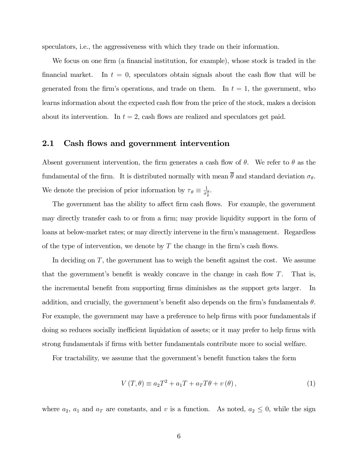speculators, i.e., the aggressiveness with which they trade on their information.

We focus on one firm (a financial institution, for example), whose stock is traded in the financial market. In  $t = 0$ , speculators obtain signals about the cash flow that will be generated from the firm's operations, and trade on them. In  $t = 1$ , the government, who learns information about the expected cash flow from the price of the stock, makes a decision about its intervention. In  $t = 2$ , cash flows are realized and speculators get paid.

### 2.1 Cash flows and government intervention

Absent government intervention, the firm generates a cash flow of  $\theta$ . We refer to  $\theta$  as the fundamental of the firm. It is distributed normally with mean  $\overline{\theta}$  and standard deviation  $\sigma_{\theta}$ . We denote the precision of prior information by  $\tau_{\theta} \equiv \frac{1}{\sigma_{\theta}^2}$ .

The government has the ability to affect firm cash flows. For example, the government may directly transfer cash to or from a firm; may provide liquidity support in the form of loans at below-market rates; or may directly intervene in the firm's management. Regardless of the type of intervention, we denote by  $T$  the change in the firm's cash flows.

In deciding on  $T$ , the government has to weigh the benefit against the cost. We assume that the government's benefit is weakly concave in the change in cash flow  $T$ . That is, the incremental benefit from supporting firms diminishes as the support gets larger. In addition, and crucially, the government's benefit also depends on the firm's fundamentals  $\theta$ . For example, the government may have a preference to help firms with poor fundamentals if doing so reduces socially inefficient liquidation of assets; or it may prefer to help firms with strong fundamentals if firms with better fundamentals contribute more to social welfare.

For tractability, we assume that the government's benefit function takes the form

$$
V(T, \theta) \equiv a_2 T^2 + a_1 T + a_T T \theta + v(\theta), \qquad (1)
$$

where  $a_2$ ,  $a_1$  and  $a_T$  are constants, and v is a function. As noted,  $a_2 \leq 0$ , while the sign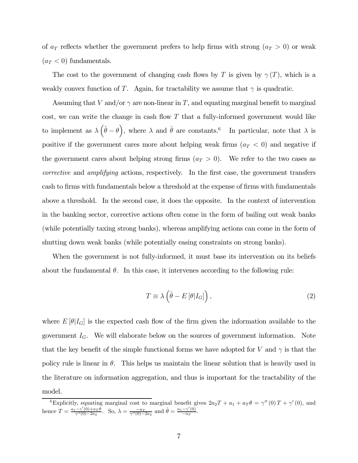of  $a_T$  reflects whether the government prefers to help firms with strong  $(a_T > 0)$  or weak  $(a_T < 0)$  fundamentals.

The cost to the government of changing cash flows by T is given by  $\gamma(T)$ , which is a weakly convex function of T. Again, for tractability we assume that  $\gamma$  is quadratic.

Assuming that V and/or  $\gamma$  are non-linear in T, and equating marginal benefit to marginal cost, we can write the change in cash flow  $T$  that a fully-informed government would like to implement as  $\lambda (\hat{\theta} - \theta)$ , where  $\lambda$  and  $\hat{\theta}$  are constants.<sup>6</sup> In particular, note that  $\lambda$  is positive if the government cares more about helping weak firms  $(a_T < 0)$  and negative if the government cares about helping strong firms  $(a_T > 0)$ . We refer to the two cases as corrective and amplifying actions, respectively. In the first case, the government transfers cash to firms with fundamentals below a threshold at the expense of firms with fundamentals above a threshold. In the second case, it does the opposite. In the context of intervention in the banking sector, corrective actions often come in the form of bailing out weak banks (while potentially taxing strong banks), whereas amplifying actions can come in the form of shutting down weak banks (while potentially easing constraints on strong banks).

When the government is not fully-informed, it must base its intervention on its beliefs about the fundamental  $\theta$ . In this case, it intervenes according to the following rule:

$$
T \equiv \lambda \left( \hat{\theta} - E \left[ \theta | I_G \right] \right), \tag{2}
$$

where  $E[\theta|I_G]$  is the expected cash flow of the firm given the information available to the government  $I_G$ . We will elaborate below on the sources of government information. Note that the key benefit of the simple functional forms we have adopted for V and  $\gamma$  is that the policy rule is linear in  $\theta$ . This helps us maintain the linear solution that is heavily used in the literature on information aggregation, and thus is important for the tractability of the model.

<sup>&</sup>lt;sup>6</sup>Explicitly, equating marginal cost to marginal benefit gives  $2a_2T + a_1 + a_T\theta = \gamma''(0)T + \gamma'(0)$ , and hence  $T = \frac{a_1 - \gamma'(0) + a_T \theta}{\gamma''(0) - 2a_2}$ . So,  $\lambda = \frac{-a_T}{\gamma''(0) - 2a_2}$  and  $\hat{\theta} = \frac{a_1 - \gamma'(0)}{-a_T}$ .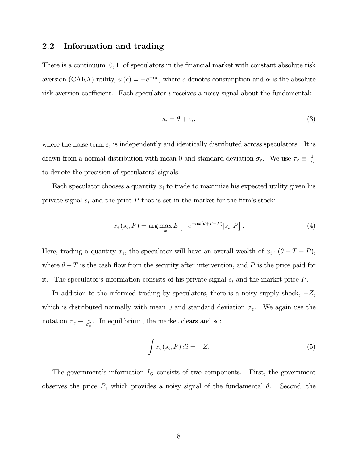### 2.2 Information and trading

There is a continuum  $[0, 1]$  of speculators in the financial market with constant absolute risk aversion (CARA) utility,  $u(c) = -e^{-\alpha c}$ , where c denotes consumption and  $\alpha$  is the absolute risk aversion coefficient. Each speculator  $i$  receives a noisy signal about the fundamental:

$$
s_i = \theta + \varepsilon_i,\tag{3}
$$

where the noise term  $\varepsilon_i$  is independently and identically distributed across speculators. It is drawn from a normal distribution with mean 0 and standard deviation  $\sigma_{\varepsilon}$ . We use  $\tau_{\varepsilon} \equiv \frac{1}{\sigma_{\varepsilon}^2}$ to denote the precision of speculators' signals.

Each speculator chooses a quantity  $x_i$  to trade to maximize his expected utility given his private signal  $s_i$  and the price  $P$  that is set in the market for the firm's stock:

$$
x_i(s_i, P) = \arg\max_{\tilde{x}} E\left[-e^{-\alpha \tilde{x}(\theta + T - P)}|s_i, P\right].
$$
 (4)

Here, trading a quantity  $x_i$ , the speculator will have an overall wealth of  $x_i \cdot (\theta + T - P)$ , where  $\theta + T$  is the cash flow from the security after intervention, and P is the price paid for it. The speculator's information consists of his private signal  $s_i$  and the market price  $P$ .

In addition to the informed trading by speculators, there is a noisy supply shock,  $-Z$ , which is distributed normally with mean 0 and standard deviation  $\sigma_z$ . We again use the notation  $\tau_z \equiv \frac{1}{\sigma_z^2}$ . In equilibrium, the market clears and so:

$$
\int x_i(s_i, P) di = -Z.
$$
\n(5)

The government's information  $I_G$  consists of two components. First, the government observes the price  $P$ , which provides a noisy signal of the fundamental  $\theta$ . Second, the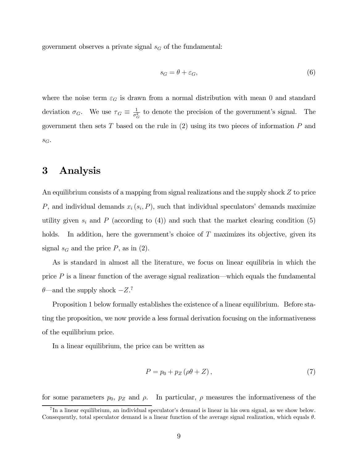government observes a private signal  $s_G$  of the fundamental:

$$
s_G = \theta + \varepsilon_G,\tag{6}
$$

where the noise term  $\varepsilon_G$  is drawn from a normal distribution with mean 0 and standard deviation  $\sigma_G$ . We use  $\tau_G \equiv \frac{1}{\sigma_G^2}$  to denote the precision of the government's signal. The government then sets  $T$  based on the rule in (2) using its two pieces of information  $P$  and  $S_G$ .

## 3 Analysis

An equilibrium consists of a mapping from signal realizations and the supply shock  $Z$  to price P, and individual demands  $x_i(s_i, P)$ , such that individual speculators' demands maximize utility given  $s_i$  and P (according to (4)) and such that the market clearing condition (5) holds. In addition, here the government's choice of  $T$  maximizes its objective, given its signal  $s_G$  and the price P, as in (2).

As is standard in almost all the literature, we focus on linear equilibria in which the price  $P$  is a linear function of the average signal realization—which equals the fundamental  $\theta$ —and the supply shock  $-Z$ <sup>7</sup>

Proposition 1 below formally establishes the existence of a linear equilibrium. Before stating the proposition, we now provide a less formal derivation focusing on the informativeness of the equilibrium price.

In a linear equilibrium, the price can be written as

$$
P = p_0 + p_Z(\rho \theta + Z),\tag{7}
$$

for some parameters  $p_0$ ,  $p_z$  and  $\rho$ . In particular,  $\rho$  measures the informativeness of the

<sup>7</sup> In a linear equilibrium, an individual speculator's demand is linear in his own signal, as we show below. Consequently, total speculator demand is a linear function of the average signal realization, which equals  $\theta$ .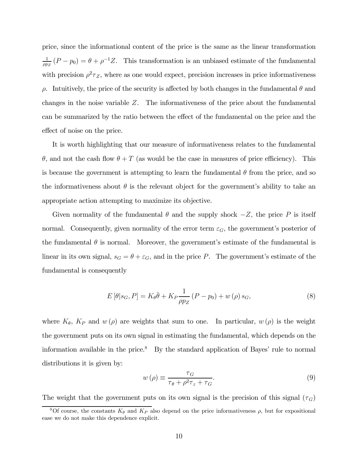price, since the informational content of the price is the same as the linear transformation  $\frac{1}{\rho p_Z}(P - p_0) = \theta + \rho^{-1}Z$ . This transformation is an unbiased estimate of the fundamental with precision  $\rho^2 \tau_Z$ , where as one would expect, precision increases in price informativeness  $\rho$ . Intuitively, the price of the security is affected by both changes in the fundamental  $\theta$  and changes in the noise variable  $Z$ . The informativeness of the price about the fundamental can be summarized by the ratio between the effect of the fundamental on the price and the effect of noise on the price.

It is worth highlighting that our measure of informativeness relates to the fundamental  $\theta$ , and not the cash flow  $\theta + T$  (as would be the case in measures of price efficiency). This is because the government is attempting to learn the fundamental  $\theta$  from the price, and so the informativeness about  $\theta$  is the relevant object for the government's ability to take an appropriate action attempting to maximize its objective.

Given normality of the fundamental  $\theta$  and the supply shock  $-Z$ , the price  $P$  is itself normal. Consequently, given normality of the error term  $\varepsilon_G$ , the government's posterior of the fundamental  $\theta$  is normal. Moreover, the government's estimate of the fundamental is linear in its own signal,  $s_G = \theta + \varepsilon_G$ , and in the price P. The government's estimate of the fundamental is consequently

$$
E\left[\theta|s_G, P\right] = K_{\theta}\bar{\theta} + K_P \frac{1}{\rho p_Z} \left(P - p_0\right) + w\left(\rho\right)s_G,\tag{8}
$$

where  $K_{\theta}$ ,  $K_{P}$  and  $w(\rho)$  are weights that sum to one. In particular,  $w(\rho)$  is the weight the government puts on its own signal in estimating the fundamental, which depends on the information available in the price. $8$  By the standard application of Bayes' rule to normal distributions it is given by:

$$
w(\rho) \equiv \frac{\tau_G}{\tau_{\theta} + \rho^2 \tau_z + \tau_G}.
$$
\n(9)

The weight that the government puts on its own signal is the precision of this signal  $(\tau_G)$ 

<sup>&</sup>lt;sup>8</sup>Of course, the constants  $K_{\theta}$  and  $K_P$  also depend on the price informativeness  $\rho$ , but for expositional ease we do not make this dependence explicit.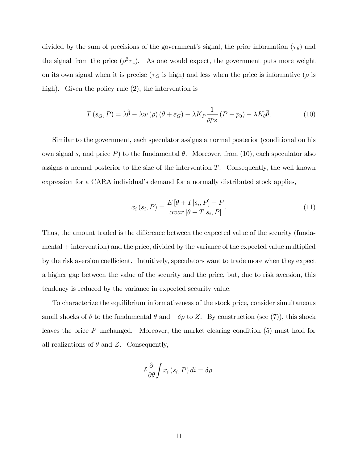divided by the sum of precisions of the government's signal, the prior information  $(\tau_{\theta})$  and the signal from the price  $(\rho^2 \tau_z)$ . As one would expect, the government puts more weight on its own signal when it is precise ( $\tau_G$  is high) and less when the price is informative ( $\rho$  is high). Given the policy rule  $(2)$ , the intervention is

$$
T(s_G, P) = \lambda \hat{\theta} - \lambda w(\rho) (\theta + \varepsilon_G) - \lambda K_P \frac{1}{\rho p_Z} (P - p_0) - \lambda K_\theta \bar{\theta}.
$$
 (10)

Similar to the government, each speculator assigns a normal posterior (conditional on his own signal  $s_i$  and price P) to the fundamental  $\theta$ . Moreover, from (10), each speculator also assigns a normal posterior to the size of the intervention  $T$ . Consequently, the well known expression for a CARA individual's demand for a normally distributed stock applies,

$$
x_i(s_i, P) = \frac{E\left[\theta + T|s_i, P\right] - P}{\alpha var\left[\theta + T|s_i, P\right]}.
$$
\n
$$
(11)
$$

Thus, the amount traded is the difference between the expected value of the security (fundamental + intervention) and the price, divided by the variance of the expected value multiplied by the risk aversion coefficient. Intuitively, speculators want to trade more when they expect a higher gap between the value of the security and the price, but, due to risk aversion, this tendency is reduced by the variance in expected security value.

To characterize the equilibrium informativeness of the stock price, consider simultaneous small shocks of  $\delta$  to the fundamental  $\theta$  and  $-\delta\rho$  to Z. By construction (see (7)), this shock leaves the price  $P$  unchanged. Moreover, the market clearing condition  $(5)$  must hold for all realizations of  $\theta$  and Z. Consequently,

$$
\delta \frac{\partial}{\partial \theta} \int x_i (s_i, P) \, di = \delta \rho.
$$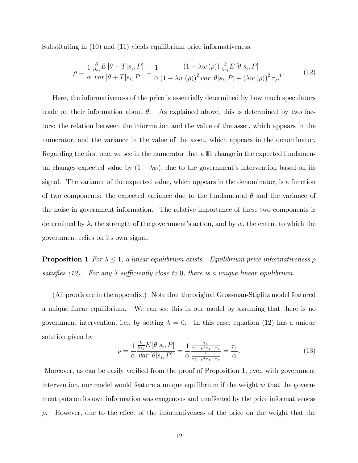Substituting in (10) and (11) yields equilibrium price informativeness:

$$
\rho = \frac{1}{\alpha} \frac{\frac{\partial}{\partial s_i} E\left[\theta + T|s_i, P\right]}{var\left[\theta + T|s_i, P\right]} = \frac{1}{\alpha} \frac{\left(1 - \lambda w\left(\rho\right)\right) \frac{\partial}{\partial s_i} E\left[\theta|s_i, P\right]}{\left(1 - \lambda w\left(\rho\right)\right)^2 var\left[\theta|s_i, P\right] + \left(\lambda w\left(\rho\right)\right)^2 \tau_G^{-1}}.
$$
\n(12)

Here, the informativeness of the price is essentially determined by how much speculators trade on their information about  $\theta$ . As explained above, this is determined by two factors: the relation between the information and the value of the asset, which appears in the numerator, and the variance in the value of the asset, which appears in the denominator. Regarding the first one, we see in the numerator that a \$1 change in the expected fundamental changes expected value by  $(1 - \lambda w)$ , due to the government's intervention based on its signal. The variance of the expected value, which appears in the denominator, is a function of two components: the expected variance due to the fundamental  $\theta$  and the variance of the noise in government information. The relative importance of these two components is determined by  $\lambda$ , the strength of the government's action, and by w, the extent to which the government relies on its own signal.

**Proposition 1** For  $\lambda \leq 1$ , a linear equilibrium exists. Equilibrium price informativeness  $\rho$ satisfies (12). For any  $\lambda$  sufficiently close to 0, there is a unique linear equilibrium.

(All proofs are in the appendix.) Note that the original Grossman-Stiglitz model featured a unique linear equilibrium. We can see this in our model by assuming that there is no government intervention, i.e., by setting  $\lambda = 0$ . In this case, equation (12) has a unique solution given by

$$
\rho = \frac{1}{\alpha} \frac{\frac{\partial}{\partial s_i} E\left[\theta | s_i, P\right]}{var\left[\theta | s_i, P\right]} = \frac{1}{\alpha} \frac{\frac{\tau_{\varepsilon}}{\tau_{\theta} + \rho^2 \tau_{z} + \tau_{\varepsilon}}}{\frac{1}{\tau_{\theta} + \rho^2 \tau_{z} + \tau_{\varepsilon}}} = \frac{\tau_{\varepsilon}}{\alpha}.
$$
\n(13)

Moreover, as can be easily verified from the proof of Proposition 1, even with government intervention, our model would feature a unique equilibrium if the weight  $w$  that the government puts on its own information was exogenous and unaffected by the price informativeness  $\rho$ . However, due to the effect of the informativeness of the price on the weight that the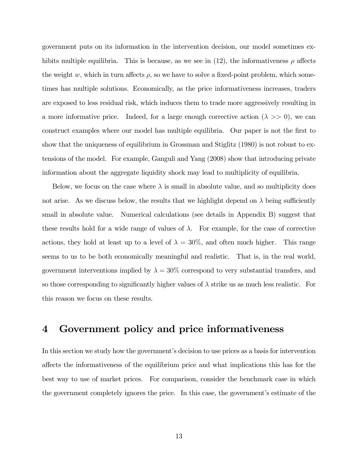government puts on its information in the intervention decision, our model sometimes exhibits multiple equilibria. This is because, as we see in (12), the informativeness  $\rho$  affects the weight  $w$ , which in turn affects  $\rho$ , so we have to solve a fixed-point problem, which sometimes has multiple solutions. Economically, as the price informativeness increases, traders are exposed to less residual risk, which induces them to trade more aggressively resulting in a more informative price. Indeed, for a large enough corrective action  $(\lambda \gg 0)$ , we can construct examples where our model has multiple equilibria. Our paper is not the first to show that the uniqueness of equilibrium in Grossman and Stiglitz (1980) is not robust to extensions of the model. For example, Ganguli and Yang (2008) show that introducing private information about the aggregate liquidity shock may lead to multiplicity of equilibria.

Below, we focus on the case where  $\lambda$  is small in absolute value, and so multiplicity does not arise. As we discuss below, the results that we highlight depend on  $\lambda$  being sufficiently small in absolute value. Numerical calculations (see details in Appendix B) suggest that these results hold for a wide range of values of  $\lambda$ . For example, for the case of corrective actions, they hold at least up to a level of  $\lambda = 30\%$ , and often much higher. This range seems to us to be both economically meaningful and realistic. That is, in the real world, government interventions implied by  $\lambda = 30\%$  correspond to very substantial transfers, and so those corresponding to significantly higher values of  $\lambda$  strike us as much less realistic. For this reason we focus on these results.

# 4 Government policy and price informativeness

In this section we study how the government's decision to use prices as a basis for intervention affects the informativeness of the equilibrium price and what implications this has for the best way to use of market prices. For comparison, consider the benchmark case in which the government completely ignores the price. In this case, the government's estimate of the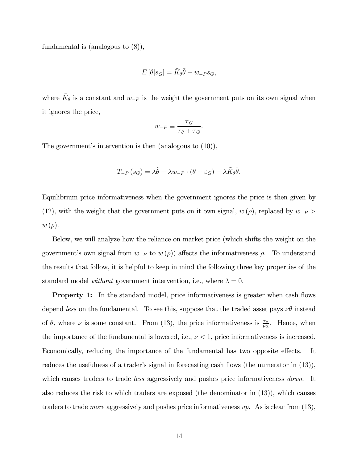fundamental is (analogous to (8)),

$$
E\left[\theta|s_G\right] = \tilde{K}_{\theta}\bar{\theta} + w_{-P}s_G,
$$

where  $\tilde{K}_{\theta}$  is a constant and  $w_{-P}$  is the weight the government puts on its own signal when it ignores the price,

$$
w_{-P} \equiv \frac{\tau_G}{\tau_{\theta} + \tau_G}.
$$

The government's intervention is then (analogous to (10)),

$$
T_{-P}(s_G) = \lambda \hat{\theta} - \lambda w_{-P} \cdot (\theta + \varepsilon_G) - \lambda \tilde{K}_{\theta} \bar{\theta}.
$$

Equilibrium price informativeness when the government ignores the price is then given by (12), with the weight that the government puts on it own signal,  $w(\rho)$ , replaced by  $w_{-P}$  $w(\rho)$ .

Below, we will analyze how the reliance on market price (which shifts the weight on the government's own signal from  $w_{-P}$  to  $w(\rho)$  affects the informativeness  $\rho$ . To understand the results that follow, it is helpful to keep in mind the following three key properties of the standard model without government intervention, i.e., where  $\lambda = 0$ .

**Property 1:** In the standard model, price informativeness is greater when cash flows depend less on the fundamental. To see this, suppose that the traded asset pays  $\nu\theta$  instead of  $\theta$ , where  $\nu$  is some constant. From (13), the price informativeness is  $\frac{\tau_{\varepsilon}}{\nu \alpha}$ . Hence, when the importance of the fundamental is lowered, i.e.,  $\nu < 1$ , price informativeness is increased. Economically, reducing the importance of the fundamental has two opposite effects. It reduces the usefulness of a trader's signal in forecasting cash flows (the numerator in (13)), which causes traders to trade *less* aggressively and pushes price informativeness *down*. It also reduces the risk to which traders are exposed (the denominator in (13)), which causes traders to trade *more* aggressively and pushes price informativeness  $up$ . As is clear from  $(13)$ ,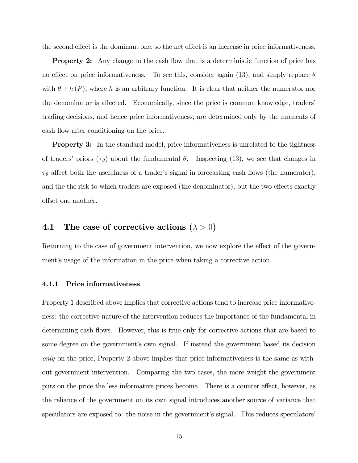the second effect is the dominant one, so the net effect is an increase in price informativeness.

**Property 2:** Any change to the cash flow that is a deterministic function of price has no effect on price informativeness. To see this, consider again (13), and simply replace  $\theta$ with  $\theta + h(P)$ , where h is an arbitrary function. It is clear that neither the numerator nor the denominator is affected. Economically, since the price is common knowledge, traders' trading decisions, and hence price informativeness, are determined only by the moments of cash flow after conditioning on the price.

**Property 3:** In the standard model, price informativeness is unrelated to the tightness of traders' priors  $(\tau_{\theta})$  about the fundamental  $\theta$ . Inspecting (13), we see that changes in  $\tau_{\theta}$  affect both the usefulness of a trader's signal in forecasting cash flows (the numerator), and the the risk to which traders are exposed (the denominator), but the two effects exactly offset one another.

## 4.1 The case of corrective actions  $(\lambda > 0)$

Returning to the case of government intervention, we now explore the effect of the government's usage of the information in the price when taking a corrective action.

#### 4.1.1 Price informativeness

Property 1 described above implies that corrective actions tend to increase price informativeness: the corrective nature of the intervention reduces the importance of the fundamental in determining cash flows. However, this is true only for corrective actions that are based to some degree on the government's own signal. If instead the government based its decision only on the price, Property 2 above implies that price informativeness is the same as without government intervention. Comparing the two cases, the more weight the government puts on the price the less informative prices become. There is a counter effect, however, as the reliance of the government on its own signal introduces another source of variance that speculators are exposed to: the noise in the government's signal. This reduces speculators'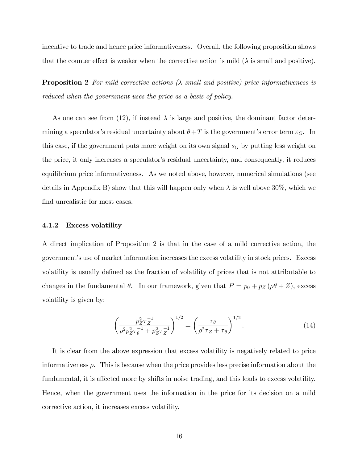incentive to trade and hence price informativeness. Overall, the following proposition shows that the counter effect is weaker when the corrective action is mild  $(\lambda)$  is small and positive).

**Proposition 2** For mild corrective actions  $(\lambda)$  small and positive) price informativeness is reduced when the government uses the price as a basis of policy.

As one can see from (12), if instead  $\lambda$  is large and positive, the dominant factor determining a speculator's residual uncertainty about  $\theta + T$  is the government's error term  $\varepsilon_G$ . In this case, if the government puts more weight on its own signal  $s_G$  by putting less weight on the price, it only increases a speculator's residual uncertainty, and consequently, it reduces equilibrium price informativeness. As we noted above, however, numerical simulations (see details in Appendix B) show that this will happen only when  $\lambda$  is well above 30%, which we find unrealistic for most cases.

#### 4.1.2 Excess volatility

A direct implication of Proposition 2 is that in the case of a mild corrective action, the government's use of market information increases the excess volatility in stock prices. Excess volatility is usually defined as the fraction of volatility of prices that is not attributable to changes in the fundamental  $\theta$ . In our framework, given that  $P = p_0 + p_Z (\rho \theta + Z)$ , excess volatility is given by:

$$
\left(\frac{p_Z^2 \tau_Z^{-1}}{\rho^2 p_Z^2 \tau_\theta^{-1} + p_Z^2 \tau_Z^{-1}}\right)^{1/2} = \left(\frac{\tau_\theta}{\rho^2 \tau_Z + \tau_\theta}\right)^{1/2}.\tag{14}
$$

It is clear from the above expression that excess volatility is negatively related to price informativeness  $\rho$ . This is because when the price provides less precise information about the fundamental, it is affected more by shifts in noise trading, and this leads to excess volatility. Hence, when the government uses the information in the price for its decision on a mild corrective action, it increases excess volatility.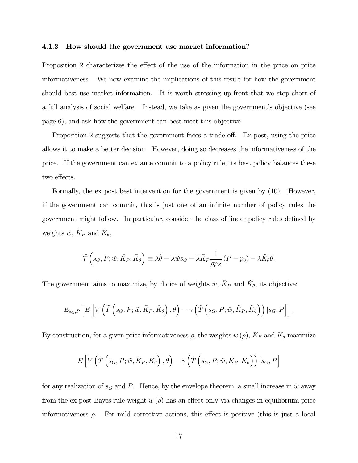#### 4.1.3 How should the government use market information?

Proposition 2 characterizes the effect of the use of the information in the price on price informativeness. We now examine the implications of this result for how the government should best use market information. It is worth stressing up-front that we stop short of a full analysis of social welfare. Instead, we take as given the government's objective (see page 6), and ask how the government can best meet this objective.

Proposition 2 suggests that the government faces a trade-off. Ex post, using the price allows it to make a better decision. However, doing so decreases the informativeness of the price. If the government can ex ante commit to a policy rule, its best policy balances these two effects.

Formally, the ex post best intervention for the government is given by (10). However, if the government can commit, this is just one of an infinite number of policy rules the government might follow. In particular, consider the class of linear policy rules defined by weights  $\tilde{w}$ ,  $\tilde{K}_P$  and  $\tilde{K}_{\theta}$ ,

$$
\tilde{T}\left(s_G, P; \tilde{w}, \tilde{K}_P, \tilde{K}_\theta\right) \equiv \lambda \hat{\theta} - \lambda \tilde{w} s_G - \lambda \tilde{K}_P \frac{1}{\rho p_Z} \left(P - p_0\right) - \lambda \tilde{K}_\theta \bar{\theta}.
$$

The government aims to maximize, by choice of weights  $\tilde{w}$ ,  $\tilde{K}_P$  and  $\tilde{K}_{\theta}$ , its objective:

$$
E_{s_G,P}\left[E\left[V\left(\tilde{T}\left(s_G, P; \tilde{w}, \tilde{K}_P, \tilde{K}_{\theta}\right), \theta\right) - \gamma\left(\tilde{T}\left(s_G, P; \tilde{w}, \tilde{K}_P, \tilde{K}_{\theta}\right)\right) \big| s_G, P\right]\right].
$$

By construction, for a given price informativeness  $\rho$ , the weights  $w(\rho)$ ,  $K_P$  and  $K_{\theta}$  maximize

$$
E\left[V\left(\tilde{T}\left(s_G,P;\tilde{w},\tilde{K}_P,\tilde{K}_\theta\right),\theta\right)-\gamma\left(\tilde{T}\left(s_G,P;\tilde{w},\tilde{K}_P,\tilde{K}_\theta\right)\right)|s_G,P\right]
$$

for any realization of  $s_G$  and P. Hence, by the envelope theorem, a small increase in  $\tilde{w}$  away from the ex post Bayes-rule weight  $w(\rho)$  has an effect only via changes in equilibrium price informativeness  $\rho$ . For mild corrective actions, this effect is positive (this is just a local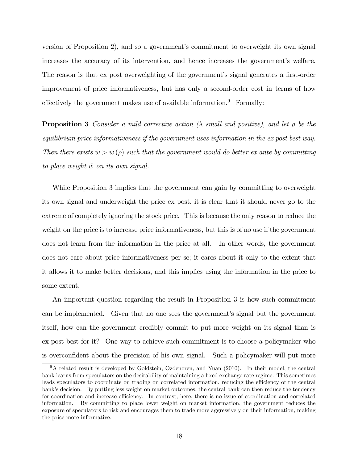version of Proposition 2), and so a government's commitment to overweight its own signal increases the accuracy of its intervention, and hence increases the government's welfare. The reason is that ex post overweighting of the government's signal generates a first-order improvement of price informativeness, but has only a second-order cost in terms of how effectively the government makes use of available information.<sup>9</sup> Formally:

**Proposition 3** Consider a mild corrective action ( $\lambda$  small and positive), and let  $\rho$  be the equilibrium price informativeness if the government uses information in the ex post best way. Then there exists  $\tilde{w} > w(\rho)$  such that the government would do better ex ante by committing to place weight  $\tilde{w}$  on its own signal.

While Proposition 3 implies that the government can gain by committing to overweight its own signal and underweight the price ex post, it is clear that it should never go to the extreme of completely ignoring the stock price. This is because the only reason to reduce the weight on the price is to increase price informativeness, but this is of no use if the government does not learn from the information in the price at all. In other words, the government does not care about price informativeness per se; it cares about it only to the extent that it allows it to make better decisions, and this implies using the information in the price to some extent.

An important question regarding the result in Proposition 3 is how such commitment can be implemented. Given that no one sees the government's signal but the government itself, how can the government credibly commit to put more weight on its signal than is ex-post best for it? One way to achieve such commitment is to choose a policymaker who is overconfident about the precision of his own signal. Such a policymaker will put more

<sup>&</sup>lt;sup>9</sup>A related result is developed by Goldstein, Ozdenoren, and Yuan (2010). In their model, the central bank learns from speculators on the desirability of maintaining a fixed exchange rate regime. This sometimes leads speculators to coordinate on trading on correlated information, reducing the efficiency of the central bank's decision. By putting less weight on market outcomes, the central bank can then reduce the tendency for coordination and increase efficiency. In contrast, here, there is no issue of coordination and correlated information. By committing to place lower weight on market information, the government reduces the exposure of speculators to risk and encourages them to trade more aggressively on their information, making the price more informative.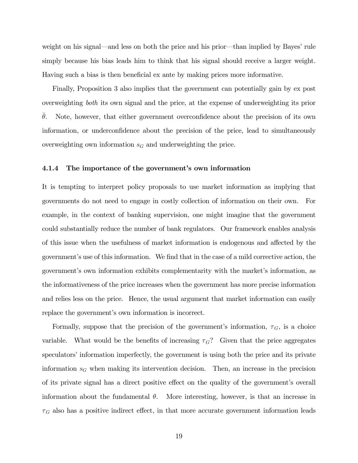weight on his signal–and less on both the price and his prior–than implied by Bayes' rule simply because his bias leads him to think that his signal should receive a larger weight. Having such a bias is then beneficial ex ante by making prices more informative.

Finally, Proposition 3 also implies that the government can potentially gain by ex post overweighting both its own signal and the price, at the expense of underweighting its prior  $\theta$ . Note, however, that either government overconfidence about the precision of its own information, or underconfidence about the precision of the price, lead to simultaneously overweighting own information  $s_G$  and underweighting the price.

#### 4.1.4 The importance of the government's own information

It is tempting to interpret policy proposals to use market information as implying that governments do not need to engage in costly collection of information on their own. For example, in the context of banking supervision, one might imagine that the government could substantially reduce the number of bank regulators. Our framework enables analysis of this issue when the usefulness of market information is endogenous and affected by the government's use of this information. We find that in the case of a mild corrective action, the government's own information exhibits complementarity with the market's information, as the informativeness of the price increases when the government has more precise information and relies less on the price. Hence, the usual argument that market information can easily replace the government's own information is incorrect.

Formally, suppose that the precision of the government's information,  $\tau_G$ , is a choice variable. What would be the benefits of increasing  $\tau_G$ ? Given that the price aggregates speculators' information imperfectly, the government is using both the price and its private information  $s_G$  when making its intervention decision. Then, an increase in the precision of its private signal has a direct positive effect on the quality of the government's overall information about the fundamental  $\theta$ . More interesting, however, is that an increase in  $\tau_G$  also has a positive indirect effect, in that more accurate government information leads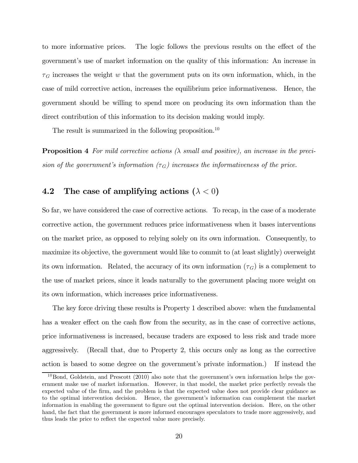to more informative prices. The logic follows the previous results on the effect of the government's use of market information on the quality of this information: An increase in  $\tau_G$  increases the weight w that the government puts on its own information, which, in the case of mild corrective action, increases the equilibrium price informativeness. Hence, the government should be willing to spend more on producing its own information than the direct contribution of this information to its decision making would imply.

The result is summarized in the following proposition.<sup>10</sup>

**Proposition 4** For mild corrective actions  $(\lambda \text{ small and positive})$ , an increase in the precision of the government's information  $(\tau_G)$  increases the informativeness of the price.

## 4.2 The case of amplifying actions  $(\lambda < 0)$

So far, we have considered the case of corrective actions. To recap, in the case of a moderate corrective action, the government reduces price informativeness when it bases interventions on the market price, as opposed to relying solely on its own information. Consequently, to maximize its objective, the government would like to commit to (at least slightly) overweight its own information. Related, the accuracy of its own information  $(\tau_G)$  is a complement to the use of market prices, since it leads naturally to the government placing more weight on its own information, which increases price informativeness.

The key force driving these results is Property 1 described above: when the fundamental has a weaker effect on the cash flow from the security, as in the case of corrective actions, price informativeness is increased, because traders are exposed to less risk and trade more aggressively. (Recall that, due to Property 2, this occurs only as long as the corrective action is based to some degree on the government's private information.) If instead the

 $10$ Bond, Goldstein, and Prescott (2010) also note that the government's own information helps the government make use of market information. However, in that model, the market price perfectly reveals the expected value of the firm, and the problem is that the expected value does not provide clear guidance as to the optimal intervention decision. Hence, the government's information can complement the market information in enabling the government to figure out the optimal intervention decision. Here, on the other hand, the fact that the government is more informed encourages speculators to trade more aggressively, and thus leads the price to reflect the expected value more precisely.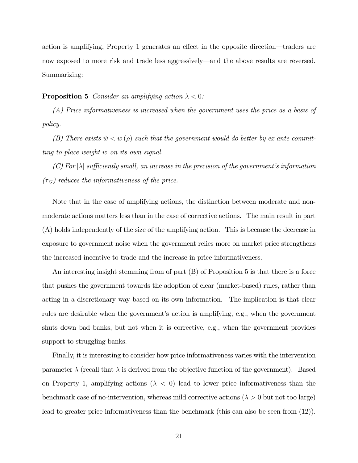action is amplifying, Property 1 generates an effect in the opposite direction–traders are now exposed to more risk and trade less aggressively–and the above results are reversed. Summarizing:

#### **Proposition 5** Consider an amplifying action  $\lambda < 0$ :

(A) Price informativeness is increased when the government uses the price as a basis of policy.

(B) There exists  $\tilde{w} < w(\rho)$  such that the government would do better by ex ante committing to place weight  $\tilde{w}$  on its own signal.

(C) For  $|\lambda|$  sufficiently small, an increase in the precision of the government's information  $(\tau_G)$  reduces the informativeness of the price.

Note that in the case of amplifying actions, the distinction between moderate and nonmoderate actions matters less than in the case of corrective actions. The main result in part (A) holds independently of the size of the amplifying action. This is because the decrease in exposure to government noise when the government relies more on market price strengthens the increased incentive to trade and the increase in price informativeness.

An interesting insight stemming from of part (B) of Proposition 5 is that there is a force that pushes the government towards the adoption of clear (market-based) rules, rather than acting in a discretionary way based on its own information. The implication is that clear rules are desirable when the government's action is amplifying, e.g., when the government shuts down bad banks, but not when it is corrective, e.g., when the government provides support to struggling banks.

Finally, it is interesting to consider how price informativeness varies with the intervention parameter  $\lambda$  (recall that  $\lambda$  is derived from the objective function of the government). Based on Property 1, amplifying actions  $(\lambda < 0)$  lead to lower price informativeness than the benchmark case of no-intervention, whereas mild corrective actions ( $\lambda > 0$  but not too large) lead to greater price informativeness than the benchmark (this can also be seen from (12)).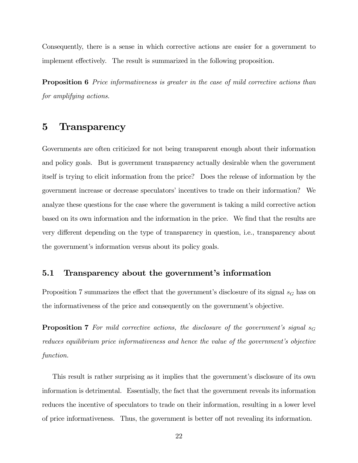Consequently, there is a sense in which corrective actions are easier for a government to implement effectively. The result is summarized in the following proposition.

Proposition 6 Price informativeness is greater in the case of mild corrective actions than for amplifying actions.

## 5 Transparency

Governments are often criticized for not being transparent enough about their information and policy goals. But is government transparency actually desirable when the government itself is trying to elicit information from the price? Does the release of information by the government increase or decrease speculators' incentives to trade on their information? We analyze these questions for the case where the government is taking a mild corrective action based on its own information and the information in the price. We find that the results are very different depending on the type of transparency in question, i.e., transparency about the government's information versus about its policy goals.

## 5.1 Transparency about the government's information

Proposition 7 summarizes the effect that the government's disclosure of its signal  $s_G$  has on the informativeness of the price and consequently on the government's objective.

**Proposition 7** For mild corrective actions, the disclosure of the government's signal  $s_G$ reduces equilibrium price informativeness and hence the value of the government's objective function.

This result is rather surprising as it implies that the government's disclosure of its own information is detrimental. Essentially, the fact that the government reveals its information reduces the incentive of speculators to trade on their information, resulting in a lower level of price informativeness. Thus, the government is better off not revealing its information.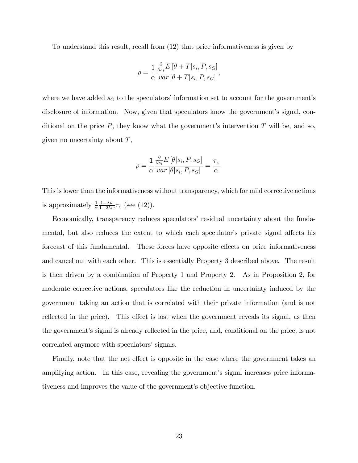To understand this result, recall from (12) that price informativeness is given by

$$
\rho = \frac{1}{\alpha} \frac{\frac{\partial}{\partial s_i} E\left[\theta + T | s_i, P, s_G\right]}{\text{var}\left[\theta + T | s_i, P, s_G\right]},
$$

where we have added  $s_G$  to the speculators' information set to account for the government's disclosure of information. Now, given that speculators know the government's signal, conditional on the price  $P$ , they know what the government's intervention  $T$  will be, and so, given no uncertainty about  $T$ ,

$$
\rho = \frac{1}{\alpha} \frac{\frac{\partial}{\partial s_i} E\left[\theta | s_i, P, s_G\right]}{var\left[\theta | s_i, P, s_G\right]} = \frac{\tau_{\varepsilon}}{\alpha}.
$$

This is lower than the informativeness without transparency, which for mild corrective actions is approximately  $\frac{1}{\alpha} \frac{1- \lambda w}{1-2\lambda w} \tau_{\varepsilon}$  (see (12)).

Economically, transparency reduces speculators' residual uncertainty about the fundamental, but also reduces the extent to which each speculator's private signal affects his forecast of this fundamental. These forces have opposite effects on price informativeness and cancel out with each other. This is essentially Property 3 described above. The result is then driven by a combination of Property 1 and Property 2. As in Proposition 2, for moderate corrective actions, speculators like the reduction in uncertainty induced by the government taking an action that is correlated with their private information (and is not reflected in the price). This effect is lost when the government reveals its signal, as then the government's signal is already reflected in the price, and, conditional on the price, is not correlated anymore with speculators' signals.

Finally, note that the net effect is opposite in the case where the government takes an amplifying action. In this case, revealing the government's signal increases price informativeness and improves the value of the government's objective function.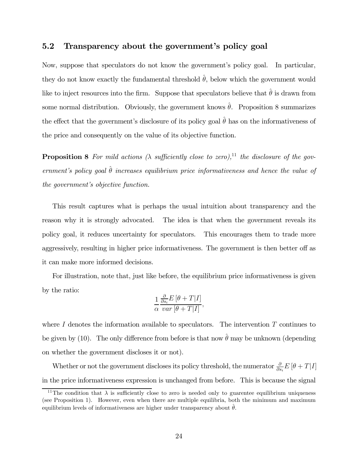## 5.2 Transparency about the government's policy goal

Now, suppose that speculators do not know the government's policy goal. In particular, they do not know exactly the fundamental threshold  $\hat{\theta}$ , below which the government would like to inject resources into the firm. Suppose that speculators believe that  $\hat{\theta}$  is drawn from some normal distribution. Obviously, the government knows  $\hat{\theta}$ . Proposition 8 summarizes the effect that the government's disclosure of its policy goal  $\hat{\theta}$  has on the informativeness of the price and consequently on the value of its objective function.

**Proposition 8** For mild actions  $(\lambda \text{ sufficiently close to zero})$ ,<sup>11</sup> the disclosure of the government's policy goal  $\hat{\theta}$  increases equilibrium price informativeness and hence the value of the government's objective function.

This result captures what is perhaps the usual intuition about transparency and the reason why it is strongly advocated. The idea is that when the government reveals its policy goal, it reduces uncertainty for speculators. This encourages them to trade more aggressively, resulting in higher price informativeness. The government is then better off as it can make more informed decisions.

For illustration, note that, just like before, the equilibrium price informativeness is given by the ratio:

$$
\frac{1}{\alpha} \frac{\frac{\partial}{\partial s_i} E\left[\theta + T|I\right]}{var\left[\theta + T|I\right]},
$$

where  $I$  denotes the information available to speculators. The intervention  $T$  continues to be given by (10). The only difference from before is that now  $\hat{\theta}$  may be unknown (depending on whether the government discloses it or not).

Whether or not the government discloses its policy threshold, the numerator  $\frac{\partial}{\partial s_i} E[\theta + T|I]$ in the price informativeness expression is unchanged from before. This is because the signal

<sup>&</sup>lt;sup>11</sup>The condition that  $\lambda$  is sufficiently close to zero is needed only to guarentee equilibrium uniqueness (see Proposition 1). However, even when there are multiple equilibria, both the minimum and maximum equilibrium levels of informativeness are higher under transparency about  $\hat{\theta}$ .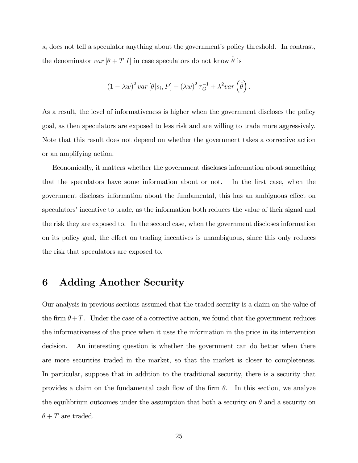$s_i$  does not tell a speculator anything about the government's policy threshold. In contrast, the denominator  $var[\theta + T]I$  in case speculators do not know  $\hat{\theta}$  is

$$
(1 - \lambda w)^{2} var [\theta | s_{i}, P] + (\lambda w)^{2} \tau_{G}^{-1} + \lambda^{2} var (\hat{\theta}).
$$

As a result, the level of informativeness is higher when the government discloses the policy goal, as then speculators are exposed to less risk and are willing to trade more aggressively. Note that this result does not depend on whether the government takes a corrective action or an amplifying action.

Economically, it matters whether the government discloses information about something that the speculators have some information about or not. In the first case, when the government discloses information about the fundamental, this has an ambiguous effect on speculators' incentive to trade, as the information both reduces the value of their signal and the risk they are exposed to. In the second case, when the government discloses information on its policy goal, the effect on trading incentives is unambiguous, since this only reduces the risk that speculators are exposed to.

## 6 Adding Another Security

Our analysis in previous sections assumed that the traded security is a claim on the value of the firm  $\theta + T$ . Under the case of a corrective action, we found that the government reduces the informativeness of the price when it uses the information in the price in its intervention decision. An interesting question is whether the government can do better when there are more securities traded in the market, so that the market is closer to completeness. In particular, suppose that in addition to the traditional security, there is a security that provides a claim on the fundamental cash flow of the firm  $\theta$ . In this section, we analyze the equilibrium outcomes under the assumption that both a security on  $\theta$  and a security on  $\theta + T$  are traded.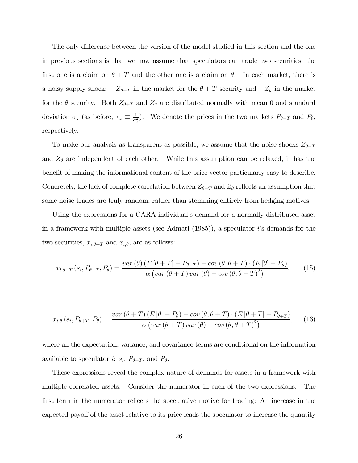The only difference between the version of the model studied in this section and the one in previous sections is that we now assume that speculators can trade two securities; the first one is a claim on  $\theta + T$  and the other one is a claim on  $\theta$ . In each market, there is a noisy supply shock:  $-Z_{\theta+T}$  in the market for the  $\theta+T$  security and  $-Z_{\theta}$  in the market for the  $\theta$  security. Both  $Z_{\theta+T}$  and  $Z_{\theta}$  are distributed normally with mean 0 and standard deviation  $\sigma_z$  (as before,  $\tau_z \equiv \frac{1}{\sigma_z^2}$ ). We denote the prices in the two markets  $P_{\theta+T}$  and  $P_{\theta}$ , respectively.

To make our analysis as transparent as possible, we assume that the noise shocks  $Z_{\theta+T}$ and  $Z_{\theta}$  are independent of each other. While this assumption can be relaxed, it has the benefit of making the informational content of the price vector particularly easy to describe. Concretely, the lack of complete correlation between  $Z_{\theta+T}$  and  $Z_{\theta}$  reflects an assumption that some noise trades are truly random, rather than stemming entirely from hedging motives.

Using the expressions for a CARA individual's demand for a normally distributed asset in a framework with multiple assets (see Admati  $(1985)$ ), a speculator *i*'s demands for the two securities,  $x_{i,\theta+T}$  and  $x_{i,\theta}$ , are as follows:

$$
x_{i,\theta+T}(s_i, P_{\theta+T}, P_{\theta}) = \frac{var(\theta)\left(E\left[\theta+T\right]-P_{\theta+T}\right)-cov(\theta, \theta+T)\cdot\left(E\left[\theta\right]-P_{\theta}\right)}{\alpha\left(var(\theta+T)\,var(\theta)-cov(\theta, \theta+T)^2\right)},\tag{15}
$$

$$
x_{i,\theta}\left(s_{i},P_{\theta+T},P_{\theta}\right)=\frac{var\left(\theta+T\right)\left(E\left[\theta\right]-P_{\theta}\right)-cov\left(\theta,\theta+T\right)\cdot\left(E\left[\theta+T\right]-P_{\theta+T}\right)}{\alpha\left(var\left(\theta+T\right)var\left(\theta\right)-cov\left(\theta,\theta+T\right)^{2}\right)},\quad(16)
$$

where all the expectation, variance, and covariance terms are conditional on the information available to speculator *i*:  $s_i$ ,  $P_{\theta+T}$ , and  $P_{\theta}$ .

These expressions reveal the complex nature of demands for assets in a framework with multiple correlated assets. Consider the numerator in each of the two expressions. The first term in the numerator reflects the speculative motive for trading: An increase in the expected payoff of the asset relative to its price leads the speculator to increase the quantity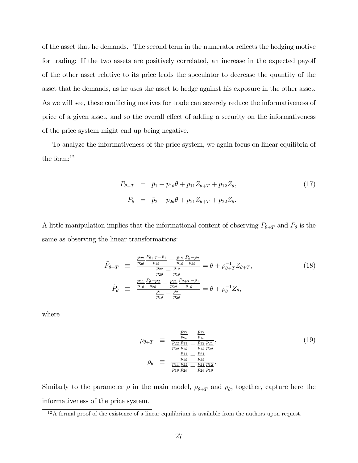of the asset that he demands. The second term in the numerator reflects the hedging motive for trading: If the two assets are positively correlated, an increase in the expected payoff of the other asset relative to its price leads the speculator to decrease the quantity of the asset that he demands, as he uses the asset to hedge against his exposure in the other asset. As we will see, these conflicting motives for trade can severely reduce the informativeness of price of a given asset, and so the overall effect of adding a security on the informativeness of the price system might end up being negative.

To analyze the informativeness of the price system, we again focus on linear equilibria of the form:12

$$
P_{\theta+T} = \bar{p}_1 + p_{1\theta}\theta + p_{11}Z_{\theta+T} + p_{12}Z_{\theta},
$$
  
\n
$$
P_{\theta} = \bar{p}_2 + p_{2\theta}\theta + p_{21}Z_{\theta+T} + p_{22}Z_{\theta}.
$$
\n(17)

A little manipulation implies that the informational content of observing  $P_{\theta+T}$  and  $P_{\theta}$  is the same as observing the linear transformations:

$$
\tilde{P}_{\theta+T} \equiv \frac{\frac{p_{22}}{p_{2\theta}} \frac{P_{\theta+T}-\bar{p}_1}{p_{1\theta}} - \frac{p_{12}}{p_{1\theta}} \frac{P_{\theta}-\bar{p}_2}{p_{2\theta}}}{\frac{p_{22}}{p_{1\theta}} - \frac{p_{12}}{p_{1\theta}} \frac{P_{\theta}-\bar{p}_2}{p_{2\theta}}} = \theta + \rho_{\theta+T}^{-1} Z_{\theta+T},
$$
\n
$$
\tilde{P}_{\theta} \equiv \frac{\frac{p_{11}}{p_{1\theta}} \frac{P_{\theta}-\bar{p}_2}{p_{2\theta}} - \frac{p_{21}}{p_{2\theta}} \frac{P_{\theta+T}-\bar{p}_1}{p_{1\theta}}}{\frac{p_{11}}{p_{1\theta}} - \frac{p_{21}}{p_{2\theta}}} = \theta + \rho_{\theta}^{-1} Z_{\theta},
$$
\n(18)

where

$$
\rho_{\theta+T} \equiv \frac{\frac{p_{22}}{p_{2\theta}} - \frac{p_{12}}{p_{1\theta}}}{\frac{p_{22}}{p_{10}} - \frac{p_{12}}{p_{1\theta}} \frac{p_{21}}{p_{2\theta}}},
$$
\n
$$
\rho_{\theta} \equiv \frac{\frac{p_{11}}{p_{1\theta}} - \frac{p_{21}}{p_{2\theta}}}{\frac{p_{11}}{p_{1\theta}} - \frac{p_{21}}{p_{2\theta}} - \frac{p_{21}}{p_{2\theta}} \frac{p_{12}}{p_{1\theta}}}}.
$$
\n(19)

Similarly to the parameter  $\rho$  in the main model,  $\rho_{\theta+T}$  and  $\rho_{\theta}$ , together, capture here the informativeness of the price system.

 $12A$  formal proof of the existence of a linear equilibrium is available from the authors upon request.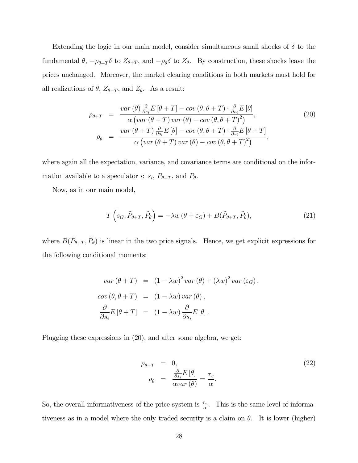Extending the logic in our main model, consider simultaneous small shocks of  $\delta$  to the fundamental  $\theta$ ,  $-\rho_{\theta+T}\delta$  to  $Z_{\theta+T}$ , and  $-\rho_{\theta}\delta$  to  $Z_{\theta}$ . By construction, these shocks leave the prices unchanged. Moreover, the market clearing conditions in both markets must hold for all realizations of  $\theta$ ,  $Z_{\theta+T}$ , and  $Z_{\theta}$ . As a result:

$$
\rho_{\theta+T} = \frac{var(\theta) \frac{\partial}{\partial s_i} E[\theta+T] - cov(\theta, \theta+T) \cdot \frac{\partial}{\partial s_i} E[\theta]}{\alpha (var(\theta+T) var(\theta) - cov(\theta, \theta+T)^2)},
$$
\n
$$
\rho_{\theta} = \frac{var(\theta+T) \frac{\partial}{\partial s_i} E[\theta] - cov(\theta, \theta+T) \cdot \frac{\partial}{\partial s_i} E[\theta+T]}{\alpha (var(\theta+T) var(\theta) - cov(\theta, \theta+T)^2)},
$$
\n(20)

where again all the expectation, variance, and covariance terms are conditional on the information available to a speculator *i*:  $s_i$ ,  $P_{\theta+T}$ , and  $P_{\theta}$ .

Now, as in our main model,

$$
T\left(s_G, \tilde{P}_{\theta+T}, \tilde{P}_{\theta}\right) = -\lambda w\left(\theta + \varepsilon_G\right) + B(\tilde{P}_{\theta+T}, \tilde{P}_{\theta}),\tag{21}
$$

where  $B(\tilde{P}_{\theta+T}, \tilde{P}_{\theta})$  is linear in the two price signals. Hence, we get explicit expressions for the following conditional moments:

$$
var(\theta + T) = (1 - \lambda w)^2 var(\theta) + (\lambda w)^2 var(\varepsilon_G),
$$
  
\n
$$
cov(\theta, \theta + T) = (1 - \lambda w) var(\theta),
$$
  
\n
$$
\frac{\partial}{\partial s_i} E[\theta + T] = (1 - \lambda w) \frac{\partial}{\partial s_i} E[\theta].
$$

Plugging these expressions in (20), and after some algebra, we get:

$$
\rho_{\theta+T} = 0, \n\rho_{\theta} = \frac{\frac{\partial}{\partial s_i} E[\theta]}{\alpha var(\theta)} = \frac{\tau_{\varepsilon}}{\alpha}.
$$
\n(22)

So, the overall informativeness of the price system is  $\frac{\tau_{\varepsilon}}{\alpha}$ . This is the same level of informativeness as in a model where the only traded security is a claim on  $\theta$ . It is lower (higher)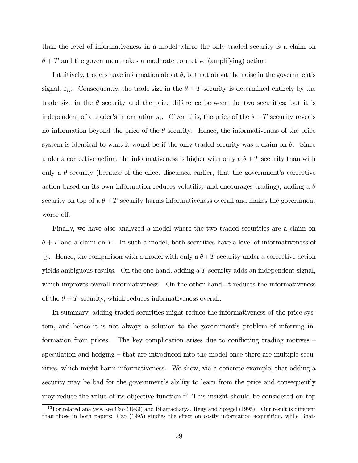than the level of informativeness in a model where the only traded security is a claim on  $\theta + T$  and the government takes a moderate corrective (amplifying) action.

Intuitively, traders have information about  $\theta$ , but not about the noise in the government's signal,  $\varepsilon_G$ . Consequently, the trade size in the  $\theta + T$  security is determined entirely by the trade size in the  $\theta$  security and the price difference between the two securities; but it is independent of a trader's information  $s_i$ . Given this, the price of the  $\theta + T$  security reveals no information beyond the price of the  $\theta$  security. Hence, the informativeness of the price system is identical to what it would be if the only traded security was a claim on  $\theta$ . Since under a corrective action, the informativeness is higher with only a  $\theta + T$  security than with only a  $\theta$  security (because of the effect discussed earlier, that the government's corrective action based on its own information reduces volatility and encourages trading), adding a  $\theta$ security on top of a  $\theta + T$  security harms informativeness overall and makes the government worse off.

Finally, we have also analyzed a model where the two traded securities are a claim on  $\theta + T$  and a claim on T. In such a model, both securities have a level of informativeness of  $\frac{\tau_{\varepsilon}}{\alpha}$ . Hence, the comparison with a model with only a  $\theta + T$  security under a corrective action yields ambiguous results. On the one hand, adding a  $T$  security adds an independent signal, which improves overall informativeness. On the other hand, it reduces the informativeness of the  $\theta + T$  security, which reduces informativeness overall.

In summary, adding traded securities might reduce the informativeness of the price system, and hence it is not always a solution to the government's problem of inferring information from prices. The key complication arises due to conflicting trading motives – speculation and hedging — that are introduced into the model once there are multiple securities, which might harm informativeness. We show, via a concrete example, that adding a security may be bad for the government's ability to learn from the price and consequently may reduce the value of its objective function.<sup>13</sup> This insight should be considered on top

<sup>13</sup>For related analysis, see Cao (1999) and Bhattacharya, Reny and Spiegel (1995). Our result is different than those in both papers: Cao (1995) studies the effect on costly information acquisition, while Bhat-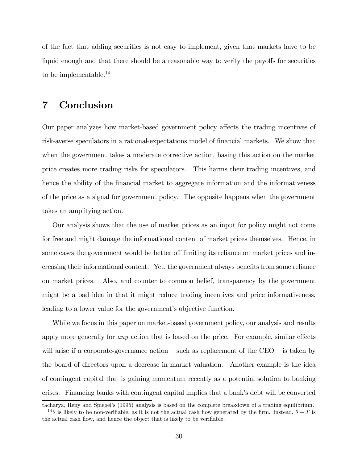of the fact that adding securities is not easy to implement, given that markets have to be liquid enough and that there should be a reasonable way to verify the payoffs for securities to be implementable.<sup>14</sup>

# 7 Conclusion

Our paper analyzes how market-based government policy affects the trading incentives of risk-averse speculators in a rational-expectations model of financial markets. We show that when the government takes a moderate corrective action, basing this action on the market price creates more trading risks for speculators. This harms their trading incentives, and hence the ability of the financial market to aggregate information and the informativeness of the price as a signal for government policy. The opposite happens when the government takes an amplifying action.

Our analysis shows that the use of market prices as an input for policy might not come for free and might damage the informational content of market prices themselves. Hence, in some cases the government would be better off limiting its reliance on market prices and increasing their informational content. Yet, the government always benefits from some reliance on market prices. Also, and counter to common belief, transparency by the government might be a bad idea in that it might reduce trading incentives and price informativeness, leading to a lower value for the government's objective function.

While we focus in this paper on market-based government policy, our analysis and results apply more generally for any action that is based on the price. For example, similar effects will arise if a corporate-governance action  $-$  such as replacement of the CEO  $-$  is taken by the board of directors upon a decrease in market valuation. Another example is the idea of contingent capital that is gaining momentum recently as a potential solution to banking crises. Financing banks with contingent capital implies that a bank's debt will be converted

tacharya, Reny and Spiegel's (1995) analysis is based on the complete breakdown of a trading equilibrium. <sup>14</sup> $\theta$  is likely to be non-verifiable, as it is not the actual cash flow generated by the firm. Instead,  $\theta + T$  is the actual cash flow, and hence the object that is likely to be verifiable.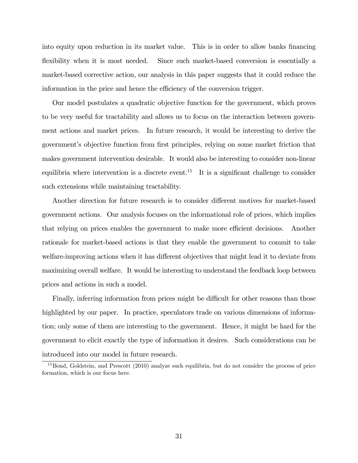into equity upon reduction in its market value. This is in order to allow banks financing flexibility when it is most needed. Since such market-based conversion is essentially a market-based corrective action, our analysis in this paper suggests that it could reduce the information in the price and hence the efficiency of the conversion trigger.

Our model postulates a quadratic objective function for the government, which proves to be very useful for tractability and allows us to focus on the interaction between government actions and market prices. In future research, it would be interesting to derive the government's objective function from first principles, relying on some market friction that makes government intervention desirable. It would also be interesting to consider non-linear equilibria where intervention is a discrete event.<sup>15</sup> It is a significant challenge to consider such extensions while maintaining tractability.

Another direction for future research is to consider different motives for market-based government actions. Our analysis focuses on the informational role of prices, which implies that relying on prices enables the government to make more efficient decisions. Another rationale for market-based actions is that they enable the government to commit to take welfare-improving actions when it has different objectives that might lead it to deviate from maximizing overall welfare. It would be interesting to understand the feedback loop between prices and actions in such a model.

Finally, inferring information from prices might be difficult for other reasons than those highlighted by our paper. In practice, speculators trade on various dimensions of information; only some of them are interesting to the government. Hence, it might be hard for the government to elicit exactly the type of information it desires. Such considerations can be introduced into our model in future research.

<sup>&</sup>lt;sup>15</sup>Bond, Goldstein, and Prescott (2010) analyze such equilibria, but do not consider the process of price formation, which is our focus here.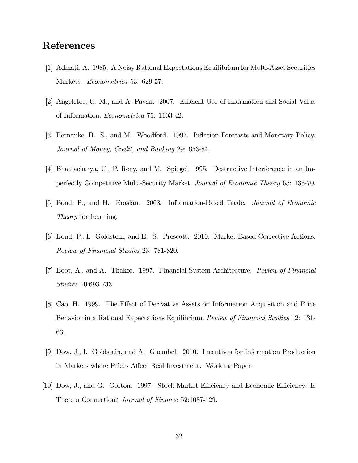# References

- [1] Admati, A. 1985. A Noisy Rational Expectations Equilibrium for Multi-Asset Securities Markets. Econometrica 53: 629-57.
- [2] Angeletos, G. M., and A. Pavan. 2007. Efficient Use of Information and Social Value of Information. Econometrica 75: 1103-42.
- [3] Bernanke, B. S., and M. Woodford. 1997. Inflation Forecasts and Monetary Policy. Journal of Money, Credit, and Banking 29: 653-84.
- [4] Bhattacharya, U., P. Reny, and M. Spiegel. 1995. Destructive Interference in an Imperfectly Competitive Multi-Security Market. Journal of Economic Theory 65: 136-70.
- [5] Bond, P., and H. Eraslan. 2008. Information-Based Trade. Journal of Economic Theory forthcoming.
- [6] Bond, P., I. Goldstein, and E. S. Prescott. 2010. Market-Based Corrective Actions. Review of Financial Studies 23: 781-820.
- [7] Boot, A., and A. Thakor. 1997. Financial System Architecture. Review of Financial Studies 10:693-733.
- [8] Cao, H. 1999. The Effect of Derivative Assets on Information Acquisition and Price Behavior in a Rational Expectations Equilibrium. *Review of Financial Studies* 12: 131-63.
- [9] Dow, J., I. Goldstein, and A. Guembel. 2010. Incentives for Information Production in Markets where Prices Affect Real Investment. Working Paper.
- [10] Dow, J., and G. Gorton. 1997. Stock Market Efficiency and Economic Efficiency: Is There a Connection? Journal of Finance 52:1087-129.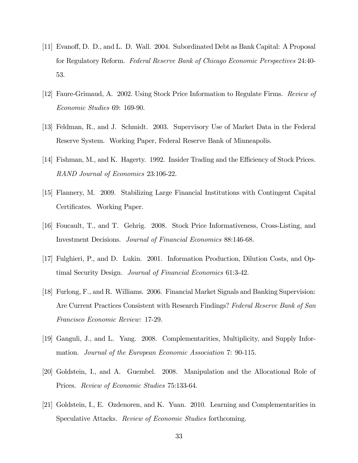- [11] Evanoff, D. D., and L. D. Wall. 2004. Subordinated Debt as Bank Capital: A Proposal for Regulatory Reform. Federal Reserve Bank of Chicago Economic Perspectives 24:40- 53.
- [12] Faure-Grimaud, A. 2002. Using Stock Price Information to Regulate Firms. Review of Economic Studies 69: 169-90.
- [13] Feldman, R., and J. Schmidt. 2003. Supervisory Use of Market Data in the Federal Reserve System. Working Paper, Federal Reserve Bank of Minneapolis.
- [14] Fishman, M., and K. Hagerty. 1992. Insider Trading and the Efficiency of Stock Prices. RAND Journal of Economics 23:106-22.
- [15] Flannery, M. 2009. Stabilizing Large Financial Institutions with Contingent Capital Certificates. Working Paper.
- [16] Foucault, T., and T. Gehrig. 2008. Stock Price Informativeness, Cross-Listing, and Investment Decisions. Journal of Financial Economics 88:146-68.
- [17] Fulghieri, P., and D. Lukin. 2001. Information Production, Dilution Costs, and Optimal Security Design. Journal of Financial Economics 61:3-42.
- [18] Furlong, F., and R. Williams. 2006. Financial Market Signals and Banking Supervision: Are Current Practices Consistent with Research Findings? Federal Reserve Bank of San Francisco Economic Review: 17-29.
- [19] Ganguli, J., and L. Yang. 2008. Complementarities, Multiplicity, and Supply Information. Journal of the European Economic Association 7: 90-115.
- [20] Goldstein, I., and A. Guembel. 2008. Manipulation and the Allocational Role of Prices. Review of Economic Studies 75:133-64.
- [21] Goldstein, I., E. Ozdenoren, and K. Yuan. 2010. Learning and Complementarities in Speculative Attacks. Review of Economic Studies forthcoming.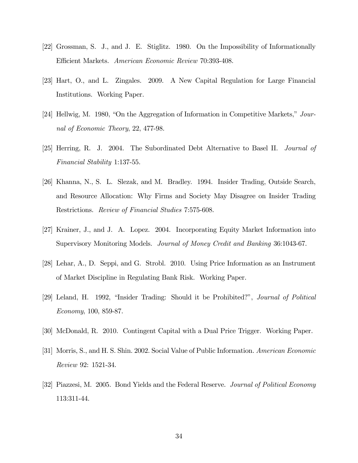- [22] Grossman, S. J., and J. E. Stiglitz. 1980. On the Impossibility of Informationally Efficient Markets. American Economic Review 70:393-408.
- [23] Hart, O., and L. Zingales. 2009. A New Capital Regulation for Large Financial Institutions. Working Paper.
- [24] Hellwig, M. 1980, "On the Aggregation of Information in Competitive Markets," Journal of Economic Theory, 22, 477-98.
- [25] Herring, R. J. 2004. The Subordinated Debt Alternative to Basel II. Journal of Financial Stability 1:137-55.
- [26] Khanna, N., S. L. Slezak, and M. Bradley. 1994. Insider Trading, Outside Search, and Resource Allocation: Why Firms and Society May Disagree on Insider Trading Restrictions. Review of Financial Studies 7:575-608.
- [27] Krainer, J., and J. A. Lopez. 2004. Incorporating Equity Market Information into Supervisory Monitoring Models. Journal of Money Credit and Banking 36:1043-67.
- [28] Lehar, A., D. Seppi, and G. Strobl. 2010. Using Price Information as an Instrument of Market Discipline in Regulating Bank Risk. Working Paper.
- [29] Leland, H. 1992, "Insider Trading: Should it be Prohibited?", Journal of Political Economy, 100, 859-87.
- [30] McDonald, R. 2010. Contingent Capital with a Dual Price Trigger. Working Paper.
- [31] Morris, S., and H. S. Shin. 2002. Social Value of Public Information. American Economic Review 92: 1521-34.
- [32] Piazzesi, M. 2005. Bond Yields and the Federal Reserve. Journal of Political Economy 113:311-44.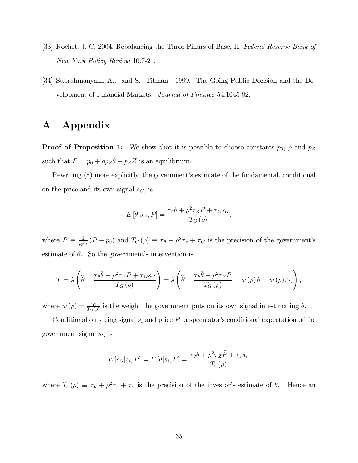- [33] Rochet, J. C. 2004. Rebalancing the Three Pillars of Basel II. Federal Reserve Bank of New York Policy Review 10:7-21.
- [34] Subrahmanyam, A., and S. Titman. 1999. The Going-Public Decision and the Development of Financial Markets. Journal of Finance 54:1045-82.

# A Appendix

**Proof of Proposition 1:** We show that it is possible to choose constants  $p_0$ ,  $\rho$  and  $p_Z$ such that  $P = p_0 + \rho p_Z \theta + p_Z Z$  is an equilibrium.

Rewriting (8) more explicitly, the government's estimate of the fundamental, conditional on the price and its own signal  $s_G$ , is

$$
E[\theta|s_G, P] = \frac{\tau_{\theta}\bar{\theta} + \rho^2\tau_Z\tilde{P} + \tau_G s_G}{T_G(\rho)},
$$

where  $\tilde{P} \equiv \frac{1}{\rho p_Z} (P - p_0)$  and  $T_G(\rho) \equiv \tau_{\theta} + \rho^2 \tau_z + \tau_G$  is the precision of the government's estimate of  $\theta$ . So the government's intervention is

$$
T = \lambda \left( \widehat{\theta} - \frac{\tau_{\theta} \bar{\theta} + \rho^2 \tau_Z \tilde{P} + \tau_G s_G}{T_G(\rho)} \right) = \lambda \left( \widehat{\theta} - \frac{\tau_{\theta} \bar{\theta} + \rho^2 \tau_Z \tilde{P}}{T_G(\rho)} - w(\rho) \theta - w(\rho) \varepsilon_G \right),
$$

where  $w(\rho) = \frac{\tau_G}{T_G(\rho)}$  is the weight the government puts on its own signal in estimating  $\theta$ .

Conditional on seeing signal  $s_i$  and price  $P$ , a speculator's conditional expectation of the government signal  $s_G$  is

$$
E[s_G|s_i, P] = E[\theta|s_i, P] = \frac{\tau_{\theta}\bar{\theta} + \rho^2\tau_Z\tilde{P} + \tau_{\varepsilon}s_i}{T_{\varepsilon}(\rho)},
$$

where  $T_{\varepsilon}(\rho) \equiv \tau_{\theta} + \rho^2 \tau_z + \tau_{\varepsilon}$  is the precision of the investor's estimate of  $\theta$ . Hence an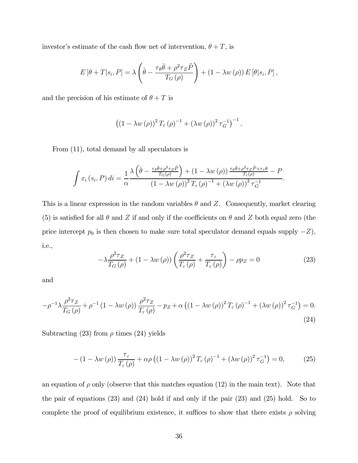investor's estimate of the cash flow net of intervention,  $\theta + T$ , is

$$
E\left[\theta+T|s_i,P\right] = \lambda \left(\hat{\theta} - \frac{\tau_{\theta}\bar{\theta} + \rho^2 \tau_Z \tilde{P}}{T_G(\rho)}\right) + \left(1 - \lambda w(\rho)\right) E\left[\theta|s_i,P\right],
$$

and the precision of his estimate of  $\theta + T$  is

$$
((1 - \lambda w(\rho))^2 T_{\varepsilon}(\rho)^{-1} + (\lambda w(\rho))^2 \tau_G^{-1})^{-1}.
$$

From (11), total demand by all speculators is

$$
\int x_i(s_i, P) \, di = \frac{1}{\alpha} \frac{\lambda \left( \hat{\theta} - \frac{\tau_{\theta} \bar{\theta} + \rho^2 \tau_Z \tilde{P}}{T_G(\rho)} \right) + (1 - \lambda w(\rho)) \frac{\tau_{\theta} \bar{\theta} + \rho^2 \tau_Z \tilde{P} + \tau_{\varepsilon} \theta}{T_{\varepsilon}(\rho)} - P}{\left( 1 - \lambda w(\rho) \right)^2 T_{\varepsilon}(\rho)^{-1} + (\lambda w(\rho))^2 \tau_G^{-1}}.
$$

This is a linear expression in the random variables  $\theta$  and Z. Consequently, market clearing (5) is satisfied for all  $\theta$  and  $Z$  if and only if the coefficients on  $\theta$  and  $Z$  both equal zero (the price intercept  $p_0$  is then chosen to make sure total speculator demand equals supply  $-Z$ ), i.e.,

$$
-\lambda \frac{\rho^2 \tau_Z}{T_G(\rho)} + (1 - \lambda w(\rho)) \left( \frac{\rho^2 \tau_Z}{T_{\varepsilon}(\rho)} + \frac{\tau_{\varepsilon}}{T_{\varepsilon}(\rho)} \right) - \rho p_Z = 0 \tag{23}
$$

and

$$
-\rho^{-1}\lambda \frac{\rho^2 \tau_Z}{T_G(\rho)} + \rho^{-1} \left(1 - \lambda w(\rho)\right) \frac{\rho^2 \tau_Z}{T_\varepsilon(\rho)} - p_Z + \alpha \left(\left(1 - \lambda w(\rho)\right)^2 T_\varepsilon(\rho)\right)^{-1} + \left(\lambda w(\rho)\right)^2 \tau_G^{-1}\right) = 0.
$$
\n(24)

Subtracting (23) from  $\rho$  times (24) yields

$$
- (1 - \lambda w(\rho)) \frac{\tau_{\varepsilon}}{T_{\varepsilon}(\rho)} + \alpha \rho ((1 - \lambda w(\rho)))^{2} T_{\varepsilon}(\rho)^{-1} + (\lambda w(\rho))^{2} \tau_{G}^{-1}) = 0, \qquad (25)
$$

an equation of  $\rho$  only (observe that this matches equation (12) in the main text). Note that the pair of equations (23) and (24) hold if and only if the pair (23) and (25) hold. So to complete the proof of equilibrium existence, it suffices to show that there exists  $\rho$  solving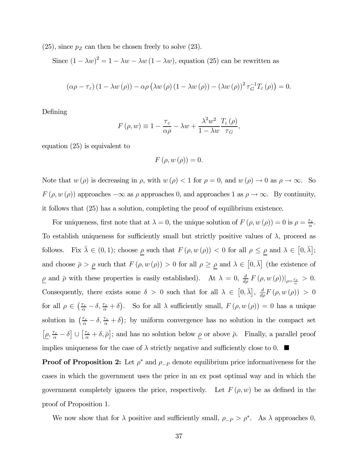$(25)$ , since  $p_Z$  can then be chosen freely to solve  $(23)$ .

Since  $(1 - \lambda w)^2 = 1 - \lambda w - \lambda w (1 - \lambda w)$ , equation (25) can be rewritten as

$$
(\alpha \rho - \tau_{\varepsilon}) (1 - \lambda w(\rho)) - \alpha \rho (\lambda w(\rho) (1 - \lambda w(\rho)) - (\lambda w(\rho))^2 \tau_G^{-1} T_{\varepsilon}(\rho)) = 0.
$$

Defining

$$
F(\rho, w) \equiv 1 - \frac{\tau_{\varepsilon}}{\alpha \rho} - \lambda w + \frac{\lambda^2 w^2}{1 - \lambda w} \frac{T_{\varepsilon}(\rho)}{\tau_G},
$$

equation (25) is equivalent to

$$
F\left(\rho, w\left(\rho\right)\right) = 0.
$$

Note that  $w(\rho)$  is decreasing in  $\rho$ , with  $w(\rho) < 1$  for  $\rho = 0$ , and  $w(\rho) \to 0$  as  $\rho \to \infty$ . So  $F(\rho, w(\rho))$  approaches  $-\infty$  as  $\rho$  approaches 0, and approaches 1 as  $\rho \to \infty$ . By continuity, it follows that (25) has a solution, completing the proof of equilibrium existence.

For uniqueness, first note that at  $\lambda = 0$ , the unique solution of  $F(\rho, w(\rho)) = 0$  is  $\rho = \frac{\tau_{\varepsilon}}{\alpha}$ . To establish uniqueness for sufficiently small but strictly positive values of  $\lambda$ , proceed as follows. Fix  $\bar{\lambda} \in (0,1)$ ; choose  $\underline{\rho}$  such that  $F(\rho, w(\rho)) < 0$  for all  $\rho \le \underline{\rho}$  and  $\lambda \in [0, \bar{\lambda}]$ ; and choose  $\bar{\rho} > \rho$  such that  $F(\rho, w(\rho)) > 0$  for all  $\rho \ge \rho$  and  $\lambda \in [0, \bar{\lambda}]$  (the existence of  $\underline{\rho}$  and  $\bar{\rho}$  with these properties is easily established). At  $\lambda = 0$ ,  $\frac{d}{d\rho} F(\rho, w(\rho))|_{\rho = \frac{\tau_{\varepsilon}}{\alpha}} > 0$ . Consequently, there exists some  $\delta > 0$  such that for all  $\lambda \in [0, \bar{\lambda}], \frac{d}{d\rho}F(\rho, w(\rho)) > 0$ for all  $\rho \in \left(\frac{\tau_{\varepsilon}}{\alpha} - \delta, \frac{\tau_{\varepsilon}}{\alpha} + \delta\right)$ . So for all  $\lambda$  sufficiently small,  $F(\rho, w(\rho)) = 0$  has a unique solution in  $(\frac{\tau_{\varepsilon}}{\alpha} - \delta, \frac{\tau_{\varepsilon}}{\alpha} + \delta)$ ; by uniform convergence has no solution in the compact set  $[\underline{\rho}, \frac{\tau_{\varepsilon}}{\alpha} - \delta] \cup [\frac{\tau_{\varepsilon}}{\alpha} + \delta, \overline{\rho}]$ ; and has no solution below  $\underline{\rho}$  or above  $\overline{\rho}$ . Finally, a parallel proof implies uniqueness for the case of  $\lambda$  strictly negative and sufficiently close to 0.  $\blacksquare$ 

**Proof of Proposition 2:** Let  $\rho^*$  and  $\rho_{-P}$  denote equilibrium price informativeness for the cases in which the government uses the price in an ex post optimal way and in which the government completely ignores the price, respectively. Let  $F(\rho, w)$  be as defined in the proof of Proposition 1.

We now show that for  $\lambda$  positive and sufficiently small,  $\rho_{-P} > \rho^*$ . As  $\lambda$  approaches 0,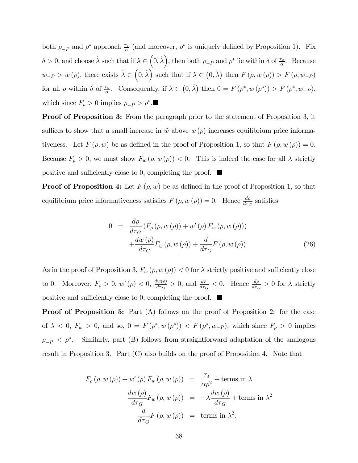both  $\rho_{-P}$  and  $\rho^*$  approach  $\frac{\tau_{\varepsilon}}{\alpha}$  (and moreover,  $\rho^*$  is uniquely defined by Proposition 1). Fix  $\delta > 0$ , and choose  $\hat{\lambda}$  such that if  $\lambda \in (0, \hat{\lambda}),$  then both  $\rho_{-P}$  and  $\rho^*$  lie within  $\delta$  of  $\frac{\tau_{\varepsilon}}{\alpha}$ . Because  $w_{-P} > w(\rho)$ , there exists  $\check{\lambda} \in (0, \hat{\lambda})$  such that if  $\lambda \in (0, \check{\lambda})$  then  $F(\rho, w(\rho)) > F(\rho, w_{-P})$ for all  $\rho$  within  $\delta$  of  $\frac{\tau_{\varepsilon}}{\alpha}$ . Consequently, if  $\lambda \in (0, \check{\lambda})$  then  $0 = F(\rho^*, w(\rho^*)) > F(\rho^*, w_{-P}),$ which since  $F_{\rho} > 0$  implies  $\rho_{-P} > \rho^*$ .

Proof of Proposition 3: From the paragraph prior to the statement of Proposition 3, it suffices to show that a small increase in  $\tilde{w}$  above  $w(\rho)$  increases equilibrium price informativeness. Let  $F(\rho, w)$  be as defined in the proof of Proposition 1, so that  $F(\rho, w(\rho)) = 0$ . Because  $F_{\rho} > 0$ , we must show  $F_w(\rho, w(\rho)) < 0$ . This is indeed the case for all  $\lambda$  strictly positive and sufficiently close to 0, completing the proof.  $\blacksquare$ 

**Proof of Proposition 4:** Let  $F(\rho, w)$  be as defined in the proof of Proposition 1, so that equilibrium price informativeness satisfies  $F(\rho, w(\rho)) = 0$ . Hence  $\frac{d\rho}{d\tau_G}$  satisfies

$$
0 = \frac{d\rho}{d\tau_G} \left( F_{\rho} \left( \rho, w \left( \rho \right) \right) + w' \left( \rho \right) F_w \left( \rho, w \left( \rho \right) \right) \right) + \frac{dw \left( \rho \right)}{d\tau_G} F_w \left( \rho, w \left( \rho \right) \right) + \frac{d}{d\tau_G} F \left( \rho, w \left( \rho \right) \right). \tag{26}
$$

As in the proof of Proposition 3,  $F_w(\rho, w(\rho)) < 0$  for  $\lambda$  strictly positive and sufficiently close to 0. Moreover,  $F_{\rho} > 0$ ,  $w'(\rho) < 0$ ,  $\frac{dw(\rho)}{d\tau_G} > 0$ , and  $\frac{dF}{d\tau_G} < 0$ . Hence  $\frac{d\rho}{d\tau_G} > 0$  for  $\lambda$  strictly positive and sufficiently close to 0, completing the proof.  $\Box$ 

**Proof of Proposition 5:** Part (A) follows on the proof of Proposition 2: for the case of  $\lambda$  < 0,  $F_w > 0$ , and so,  $0 = F(\rho^*, w(\rho^*))$  <  $F(\rho^*, w_{-P})$ , which since  $F_\rho > 0$  implies  $\rho_{-P} < \rho^*$ . Similarly, part (B) follows from straightforward adaptation of the analogous result in Proposition 3. Part (C) also builds on the proof of Proposition 4. Note that

$$
F_{\rho}(\rho, w(\rho)) + w'(\rho) F_w(\rho, w(\rho)) = \frac{\tau_{\varepsilon}}{\alpha \rho^2} + \text{terms in } \lambda
$$

$$
\frac{dw(\rho)}{d\tau_G} F_w(\rho, w(\rho)) = -\lambda \frac{dw(\rho)}{d\tau_G} + \text{terms in } \lambda^2
$$

$$
\frac{d}{d\tau_G} F(\rho, w(\rho)) = \text{terms in } \lambda^2.
$$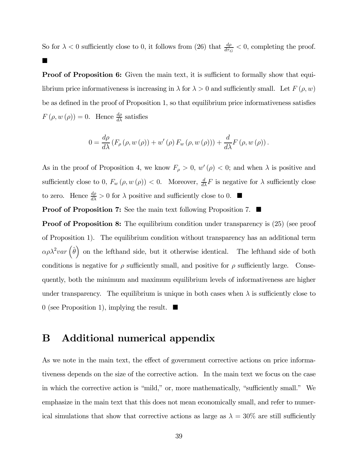So for  $\lambda < 0$  sufficiently close to 0, it follows from (26) that  $\frac{d\rho}{d\tau_G} < 0$ , completing the proof.

**Proof of Proposition 6:** Given the main text, it is sufficient to formally show that equilibrium price informativeness is increasing in  $\lambda$  for  $\lambda > 0$  and sufficiently small. Let  $F(\rho, w)$ be as defined in the proof of Proposition 1, so that equilibrium price informativeness satisfies  $F(\rho, w(\rho)) = 0$ . Hence  $\frac{d\rho}{d\lambda}$  satisfies

$$
0 = \frac{d\rho}{d\lambda} \left( F_{\rho} \left( \rho, w \left( \rho \right) \right) + w' \left( \rho \right) F_w \left( \rho, w \left( \rho \right) \right) \right) + \frac{d}{d\lambda} F \left( \rho, w \left( \rho \right) \right).
$$

As in the proof of Proposition 4, we know  $F_{\rho} > 0$ ,  $w'(\rho) < 0$ ; and when  $\lambda$  is positive and sufficiently close to 0,  $F_w(\rho, w(\rho)) < 0$ . Moreover,  $\frac{d}{d\lambda} F$  is negative for  $\lambda$  sufficiently close to zero. Hence  $\frac{d\rho}{d\lambda} > 0$  for  $\lambda$  positive and sufficiently close to 0.  $\blacksquare$ 

**Proof of Proposition 7:** See the main text following Proposition 7.  $\blacksquare$ 

 $\blacksquare$ 

**Proof of Proposition 8:** The equilibrium condition under transparency is  $(25)$  (see proof of Proposition 1). The equilibrium condition without transparency has an additional term  $\alpha \rho \lambda^2 var \left( \hat{\theta} \right)$  on the lefthand side, but it otherwise identical. The lefthand side of both conditions is negative for  $\rho$  sufficiently small, and positive for  $\rho$  sufficiently large. Consequently, both the minimum and maximum equilibrium levels of informativeness are higher under transparency. The equilibrium is unique in both cases when  $\lambda$  is sufficiently close to 0 (see Proposition 1), implying the result.  $\blacksquare$ 

# B Additional numerical appendix

As we note in the main text, the effect of government corrective actions on price informativeness depends on the size of the corrective action. In the main text we focus on the case in which the corrective action is "mild," or, more mathematically, "sufficiently small." We emphasize in the main text that this does not mean economically small, and refer to numerical simulations that show that corrective actions as large as  $\lambda = 30\%$  are still sufficiently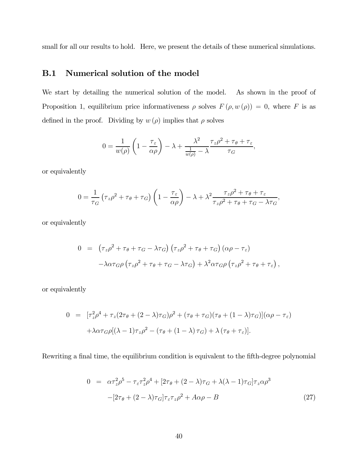small for all our results to hold. Here, we present the details of these numerical simulations.

## B.1 Numerical solution of the model

We start by detailing the numerical solution of the model. As shown in the proof of Proposition 1, equilibrium price informativeness  $\rho$  solves  $F(\rho, w(\rho)) = 0$ , where F is as defined in the proof. Dividing by  $w(\rho)$  implies that  $\rho$  solves

$$
0 = \frac{1}{w(\rho)} \left( 1 - \frac{\tau_{\varepsilon}}{\alpha \rho} \right) - \lambda + \frac{\lambda^2}{\frac{1}{w(\rho)} - \lambda} \frac{\tau_z \rho^2 + \tau_{\theta} + \tau_{\varepsilon}}{\tau_G},
$$

or equivalently

$$
0 = \frac{1}{\tau_G} \left( \tau_z \rho^2 + \tau_\theta + \tau_G \right) \left( 1 - \frac{\tau_\varepsilon}{\alpha \rho} \right) - \lambda + \lambda^2 \frac{\tau_z \rho^2 + \tau_\theta + \tau_\varepsilon}{\tau_z \rho^2 + \tau_\theta + \tau_G - \lambda \tau_G},
$$

or equivalently

$$
0 = (\tau_z \rho^2 + \tau_\theta + \tau_G - \lambda \tau_G) (\tau_z \rho^2 + \tau_\theta + \tau_G) (\alpha \rho - \tau_\varepsilon)
$$

$$
- \lambda \alpha \tau_G \rho (\tau_z \rho^2 + \tau_\theta + \tau_G - \lambda \tau_G) + \lambda^2 \alpha \tau_G \rho (\tau_z \rho^2 + \tau_\theta + \tau_\varepsilon),
$$

or equivalently

$$
0 = [\tau_z^2 \rho^4 + \tau_z (2\tau_\theta + (2 - \lambda)\tau_G)\rho^2 + (\tau_\theta + \tau_G)(\tau_\theta + (1 - \lambda)\tau_G)](\alpha \rho - \tau_\varepsilon)
$$

$$
+ \lambda \alpha \tau_G \rho [(\lambda - 1)\tau_z \rho^2 - (\tau_\theta + (1 - \lambda)\tau_G) + \lambda (\tau_\theta + \tau_\varepsilon)].
$$

Rewriting a final time, the equilibrium condition is equivalent to the fifth-degree polynomial

$$
0 = \alpha \tau_z^2 \rho^5 - \tau_z \tau_z^2 \rho^4 + [2\tau_\theta + (2 - \lambda)\tau_G + \lambda(\lambda - 1)\tau_G] \tau_z \alpha \rho^3
$$
  
 
$$
-[2\tau_\theta + (2 - \lambda)\tau_G] \tau_z \tau_z \rho^2 + A\alpha \rho - B
$$
 (27)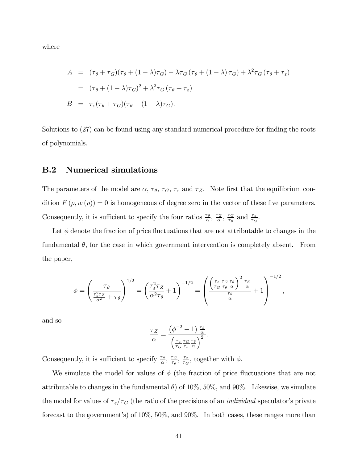where

$$
A = (\tau_{\theta} + \tau_{G})(\tau_{\theta} + (1 - \lambda)\tau_{G}) - \lambda \tau_{G} (\tau_{\theta} + (1 - \lambda)\tau_{G}) + \lambda^{2} \tau_{G} (\tau_{\theta} + \tau_{\varepsilon})
$$
  
\n
$$
= (\tau_{\theta} + (1 - \lambda)\tau_{G})^{2} + \lambda^{2} \tau_{G} (\tau_{\theta} + \tau_{\varepsilon})
$$
  
\n
$$
B = \tau_{\varepsilon} (\tau_{\theta} + \tau_{G}) (\tau_{\theta} + (1 - \lambda)\tau_{G}).
$$

Solutions to (27) can be found using any standard numerical procedure for finding the roots of polynomials.

#### B.2 Numerical simulations

The parameters of the model are  $\alpha$ ,  $\tau_{\theta}$ ,  $\tau_{G}$ ,  $\tau_{\epsilon}$  and  $\tau_{Z}$ . Note first that the equilibrium condition  $F(\rho, w(\rho)) = 0$  is homogeneous of degree zero in the vector of these five parameters. Consequently, it is sufficient to specify the four ratios  $\frac{\tau_{\theta}}{\alpha}$ ,  $\frac{\tau_{Z}}{\alpha}$ ,  $\frac{\tau_{G}}{\tau_{\theta}}$  and  $\frac{\tau_{\varepsilon}}{\tau_{G}}$ .

Let  $\phi$  denote the fraction of price fluctuations that are not attributable to changes in the fundamental  $\theta$ , for the case in which government intervention is completely absent. From the paper,

$$
\phi = \left(\frac{\tau_{\theta}}{\frac{\tau_{\varepsilon}^{2}\tau_{Z}}{\alpha^{2}} + \tau_{\theta}}\right)^{1/2} = \left(\frac{\tau_{\varepsilon}^{2}\tau_{Z}}{\alpha^{2}\tau_{\theta}} + 1\right)^{-1/2} = \left(\frac{\left(\frac{\tau_{\varepsilon}}{\tau_{G}}\frac{\tau_{G}}{\tau_{\theta}}\frac{\tau_{\theta}}{\alpha}\right)^{2}\frac{\tau_{Z}}{\alpha}}{\frac{\tau_{\theta}}{\alpha}} + 1\right)^{-1/2},
$$

and so

$$
\frac{\tau_Z}{\alpha} = \frac{\left(\phi^{-2} - 1\right) \frac{\tau_\theta}{\alpha}}{\left(\frac{\tau_\varepsilon}{\tau_G} \frac{\tau_G}{\tau_\theta} \frac{\tau_\theta}{\alpha}\right)^2}.
$$

Consequently, it is sufficient to specify  $\frac{\tau_{\theta}}{\alpha}$ ,  $\frac{\tau_{\theta}}{\tau_{\theta}}$ ,  $\frac{\tau_{\varepsilon}}{\tau_{G}}$ , together with  $\phi$ .

We simulate the model for values of  $\phi$  (the fraction of price fluctuations that are not attributable to changes in the fundamental  $\theta$ ) of 10%, 50%, and 90%. Likewise, we simulate the model for values of  $\tau_{\varepsilon}/\tau_{G}$  (the ratio of the precisions of an *individual* speculator's private forecast to the government's) of 10%, 50%, and 90%. In both cases, these ranges more than